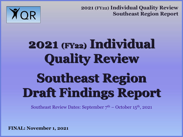

# **2021 (FY22) Individual Quality Review Southeast Region Draft Findings Report**

Southeast Review Dates: September  $7<sup>th</sup>$  – October 15<sup>th</sup>, 2021

**FINAL: November 1, 2021**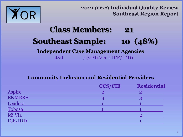

## **Class Members: 21 Southeast Sample: 10 (48%) Independent Case Management Agencies**

J&J 7 (2 Mi Via, 1 ICF/IDD)

#### **Community Inclusion and Residential Providers**

|                | <b>CCS/CIE</b> | <b>Residential</b> |
|----------------|----------------|--------------------|
| <b>Aspire</b>  |                |                    |
| ENMRSH         |                |                    |
| Leaders        |                |                    |
| Tobosa         |                |                    |
| Mi Via         |                |                    |
| <b>ICF/IDD</b> |                |                    |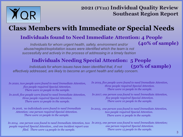

**(40% of sample)**

## **Class Members with Immediate or Special Needs**

#### **Individuals found to Need Immediate Attention: 4 People**

*Individuals for whom urgent health, safety, environment and/or abuse/neglect/exploitation issues were identified which the team is not successfully and actively in the process of addressing in a timely fashion*

#### **Individuals Needing Special Attention: 5 People**

**(50% of sample)** *Individuals for whom issues have been identified that, if not effectively addressed, are likely to become an urgent health and safety concern.*

*In 2020, two people were found to need Immediate Attention, five people required Special Attention. There were 10 people in the sample.*

*In 2018, five people were found to need Immediate Attention, three people required Special Attention. There were 10 people in the sample.*

*In 2016, no individuals were found to need Immediate Attention; one person required Special Attention. There were 10 people in the sample.*

*In 2014, one person was found to need Immediate Attention, two In 2013, one person was found to need Immediate Attention; people required Special Attention., and one incident report was filed. There were 14 people in the sample.*

*In 2019, five people were found to need Immediate Attention, three people required Special Attention. There were 10 people in the sample.*

*In 2017, one person was found to need Immediate Attention, five people required Special Attention. There were 10 people in the sample.*

*In 2015, one person was found to need Immediate Attention, two people required Special Attention. There were 11 people in the sample.*

*one person required Special Attention. There were 15 people in the sample.*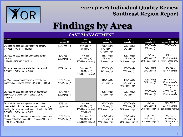

# **Findings by Area**

#### **CASE MANAGEMENT**

| <b>Question</b>                                                                                                                                                                                   | 2016<br>(sample=10)            | 2017<br>(sample=10)                                           | 2018<br>(sample=9)                                | 2019<br>(sample=10)                               | 2020<br>(sample=10)                          | 2021<br>(sample=8; 2 Mi Via)                             |
|---------------------------------------------------------------------------------------------------------------------------------------------------------------------------------------------------|--------------------------------|---------------------------------------------------------------|---------------------------------------------------|---------------------------------------------------|----------------------------------------------|----------------------------------------------------------|
| 24. Does the case manager "know" the person?<br>CPRQ26; '17IQR#8c, '18IQR24                                                                                                                       | 100% Yes (10)                  | 90% Yes (9)<br>10% Many (1)                                   | 78% Yes (7)<br>11% Many (1)<br>11% Needs Impv (1) | 90% Yes (9)<br>10% Many (1)                       | 90% Yes (9)<br>10% Many (1)                  | 100% Yes (8)                                             |
| 25. Does the case manager understand his/her<br>role/job?<br>CPRQ27 '17IQR#16, '18IQR25                                                                                                           | 50% Yes (5)<br>50% Partial (5) | 0% Yes<br>60% Many (6)<br>40% Needs Impv (4)                  | 44% Yes (4)<br>44% Many (4)<br>11% Needs Impv (1) | 30% Yes (3)<br>50% Many (5)<br>20% Needs Impv (2) | 0% Yes<br>70% Many (7)<br>30% Needs Impv (3) | $0\%$ Yes<br>87.5% Many (7)<br>12.5% Needs Impv<br>(1)   |
| 26. Is the case manager available to the person?<br>CPRQ29; '17IQR#16a, '18IQR27                                                                                                                  | 100% Yes (10)                  | 70% Yes (7)<br>10% Many (1)<br>20% Needs Impv (2)             | 56% Yes (5)<br>44% Many (4)                       | 90% Yes (9)<br>10% Many (1)                       | 70% Yes (7)<br>30% Many (3)                  | 87.5% Yes (7)<br>12.5% Many (1)                          |
| 27. Was the case manager able to describe the<br>person's health related needs? CPRQ30,, '18IQR28                                                                                                 | 80% Yes (8)<br>20% Partial (2) |                                                               | 44% Yes (4)<br>56% Many (5)                       | 40% Yes (4)<br>50% Many (5)<br>10% Needs Impv (1) | 50% Yes (5)<br>50% Many (5)                  | 50% Yes (4)<br>37.5% Many (3)<br>12.5% Needs Impv<br>(1) |
| 28. Does the case manager have an appropriate<br>expectation of growth for this person? CPRQ31,<br>'18IQR29                                                                                       | 60% Yes (6)<br>40% Partial (4) |                                                               | 89% Yes (8)<br>11% Needs Impv (1)                 | 90% Yes (9)<br>10% Many (1)                       | 90% Yes (9)<br>10% Many (1)                  | 87.5% Yes (7)<br>12.5% Many (1)                          |
| 29. Does the case management record contain<br>documentation that the case manager is monitoring and<br>tracking the delivery of services as outlined in the ISP?<br>CPRQ32; '17IQR#16b, '18IQR30 | 30% Yes (3)<br>70% Partial (7) | $0\%$ Yes<br>30% Many (3)<br>40% Needs Impv (4)<br>30% No (3) | 33% Yes (3)<br>44% Many (4)<br>22% Needs Impv (2) | 30% Yes (3)<br>50% Many (5)<br>20% Needs Impv (2) | 0% Yes<br>80% Many (8)<br>20% Needs Impv (2) | 12.5% Yes (1)<br>62.5% Many (5)<br>25% Needs Impv (2)    |
| 30. Does the case manager provide case management<br>services at the level needed by this person? CPRQ33;<br>'17IQR#16c, '18IQR31                                                                 | 30% Yes (3)<br>70% Partial (7) | 20% Yes (2)<br>20% Many (2)<br>60% Needs Impv (6)             | 56% Yes (5)<br>33% Many (3)<br>11% Needs Impv (1) | 20% Yes (2)<br>60% Many (6)<br>20% Needs Impv (2) | 0% Yes<br>70% Many (7)<br>30% Needs Impv (3) | 12.5% Yes (1)<br>75% Many (6)<br>12.5% Needs Impv<br>(1) |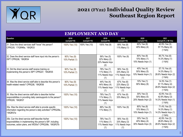

| <u>EMPLOYMENT AND DAY</u>                                                                                                                                                    |                                |                     |                                                      |                                                      |                                                    |                                                                    |  |  |
|------------------------------------------------------------------------------------------------------------------------------------------------------------------------------|--------------------------------|---------------------|------------------------------------------------------|------------------------------------------------------|----------------------------------------------------|--------------------------------------------------------------------|--|--|
| Question                                                                                                                                                                     | 2016<br>(sample=10)            | 2017<br>(sample=10) | 2018<br>(sample=9)                                   | 2019<br>(sample=10)                                  | 2020<br>(sample=10)                                | 2021<br>(sample=8, 2 Mi Via)                                       |  |  |
| 31. Does the direct services staff "know" the person?<br>CPRQ35; '17IQR#8a, '18IQR33                                                                                         | 100% Yes (10)                  | 100% Yes (10)       | 100% Yes (9)                                         | 89% Yes (8)<br>11% Many (1)                          | 60% Yes (6)<br>40% Many (4)                        | 42.9% Yes (3)<br>57.1% Many (4)<br>(1 N/A)                         |  |  |
| 32. Does the direct service staff have input into the person's<br>ISP? CPRQ36, '18IQR34                                                                                      | 90% Yes (9)<br>10% Partial (1) |                     | 56% Yes (5)<br>22% Many (2)<br>22% Needs Impv<br>(2) | 100% Yes (9)                                         | 80% Yes (8)<br>10% Many (1)<br>10% Needs Impv (1)  | 85.7% Yes (6)<br>14.3% Many (1)<br>(1 N/A)                         |  |  |
| 33. Did the direct service staff receive training on<br>implementing this person's ISP? CPRQ37, '18IQR35                                                                     | 90% Yes (9)<br>10% Partial (1) |                     | 78% Yes (7)<br>11% Many (1)<br>11% Needs Impv<br>(1) | 56% Yes (5)<br>33% Many (3)<br>11% Needs Impv<br>(1) | 40% Yes (4)<br>50% Many (5)<br>10% Needs Imprv (1) | 57.1% Yes (4)<br>14.3% Many (1)<br>28.6% Needs Impv (2)<br>(1 N/A) |  |  |
| 34. Was the direct service staff able to describe this person's<br>health-related needs? CPRQ38, '18IQR36                                                                    | 90% Yes (9)<br>10% Partial (1) |                     | 44% Yes (4)<br>44% Many (4)<br>11% Needs Impv<br>(1) | 67% Yes (6)<br>22% Many (2)<br>11% Needs Impv<br>(1) | 10% Yes (1)<br>90% Many (9)                        | 14.3% Yes (1)<br>57.1% Many (4)<br>28.6% Needs Impv (2)<br>(1 N/A) |  |  |
| 35. Was the direct service staff able to describe his/her<br>responsibilities in providing daily care/supports to the person?<br>CPRQ39, '18IQR37                            | 100% Yes (10)                  |                     | 78% Yes (7)<br>11% Many (1)<br>11% Needs Impv<br>(1) | 67% Yes (6)<br>33% Many (3)                          | 30% Yes (3)<br>50% Many (5)<br>20% Needs Impv (2)  | 42.9% Yes (3)<br>42.9% Many (3)<br>14.3% Needs Impv (1)<br>(1 N/A) |  |  |
| 35a. Was the direct service staff able to provide specific<br>information regarding the person's daily activities? CPRQ39a,<br>'18IQR37a                                     | 100% Yes (10)                  |                     | 89% Yes (8)<br>11% Many (1)                          | 100% Yes (9)                                         | 80% Yes (8)<br>10% Many (1)<br>10% Needs Impv (1)  | 71.4% Yes (5)<br>14.3% Many (1)<br>14.3% Needs Impv (1)<br>(1 N/A) |  |  |
| 35b. Can the direct service staff describe his/her<br>responsibilities in implementing this person's ISP, including<br>outcomes, action plans, and WDSIs? CPRQ39b, '18IQR37b | 100% Yes (10)                  |                     | 78% Yes (7)<br>11% Many (1)<br>11% Needs Impv<br>(1) | 56% Yes (5)<br>33% Many (3)<br>11% Needs Impv<br>(1) | 30% Yes (3)<br>40% Many (4)<br>30% Needs Impv (3)  | 42.9% Yes (3)<br>28.6% Many (2)<br>28.6% Needs Impv (2)<br>(1 N/A) |  |  |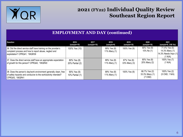

#### **EMPLOYMENT AND DAY (continued)**

| Question                                                                                                                                                     | 2016<br>(sample=10)            | 2017<br>(sample=10) | 2018<br>(sample=9)          | 2019<br>(sample=10)         | 2020<br>(sample=10)                          | 2021<br>(sample=8, 2 Mi Via)                                              |
|--------------------------------------------------------------------------------------------------------------------------------------------------------------|--------------------------------|---------------------|-----------------------------|-----------------------------|----------------------------------------------|---------------------------------------------------------------------------|
| 36. Did the direct service staff have training on the provider's<br>complaint process and how to report abuse, neglect and<br>exploitation? CPRQ41, '18IQR39 | 100% Yes (10)                  |                     | 89% Yes (8)<br>11% Many (1) | 100% Yes (9)                | 90% Yes (9)<br>10% No (1)                    | 71.4% Yes (5)<br>14.3% Many (1)<br>$ 14.3\%$ Needs Impv $(1) $<br>(1 N/A) |
| 37. Does the direct service staff have an appropriate expectation<br>of growth for this person? CPRQ42, '18IQR40                                             | 80% Yes (8)<br>20% Partial (2) |                     | 89% Yes (8)<br>11% Many (1) | 67% Yes (6)<br>33% Many (3) | 80% Yes (8)<br>20% Many (2)                  | 100% Yes (7)<br>(1 N/A)                                                   |
| 38. Does the person's day/work environment generally clean, free<br>of safety hazards and conducive to the work/activity intended?<br>CPRQ43, '18IQR41       | 90% Yes (9)<br>10% Partial (1) |                     | 89% Yes (8)<br>11% Many (1) | 100% Yes (9)                | 66.7% Yes (2)<br>33.3% Many (1)<br>$(7$ CND) | 100% Yes (2)<br>(5 CND, 1 N/A)                                            |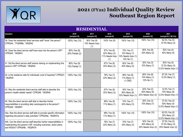

| <b>RESIDENTIAL</b>                                                                                                                                                           |                                |                                      |                                                      |                                                                 |                                                   |                                                         |  |  |  |
|------------------------------------------------------------------------------------------------------------------------------------------------------------------------------|--------------------------------|--------------------------------------|------------------------------------------------------|-----------------------------------------------------------------|---------------------------------------------------|---------------------------------------------------------|--|--|--|
| Question                                                                                                                                                                     | 2016<br>(sample=10)            | 2017<br>(sample=10)                  | 2018<br>(sample=9)                                   | 2019<br>(sample=10)                                             | 2020<br>(sample=10)                               | 2021<br>(sample=8, 2 Mi Via)                            |  |  |  |
| 39. Does the residential direct services staff "know" the person?<br>CPRQ44; '17IQR#8b, '18IQR42                                                                             | 100% Yes (10)                  | 90% Yes (9)<br>10% Needs Impv<br>(1) | 100% Yes (9)                                         | 100% Yes (10)                                                   | 100% Yes (10)                                     | 62.5% Yes (5)<br>37.5% Many (3)                         |  |  |  |
| 40. Does the direct service staff have input into the person's ISP?<br>CPRQ45, '18IQR43                                                                                      | 80% Yes (8)<br>20% Partial (2) |                                      | 67% Yes (6)<br>22% Many (2)<br>11% Needs Impv<br>(1) | 70% Yes (7)<br>10% Many (1)<br>10% Needs Impv (1)<br>10% No (1) | 80% Yes (8)<br>20% Many (2)                       | 50% Yes (4)<br>50% Many (4)                             |  |  |  |
| 41. Did the direct service staff receive training on implementing this<br>person's ISP? CPRQ46, '18IQR44                                                                     | 90% Yes (9)<br>10% Partial (1) |                                      | 67% Yes (6)<br>33% Many (3)                          | 60% Yes (6)<br>40% Many (4)                                     | 30% Yes (3)<br>70% Many (7)                       | 50% Yes (4)<br>37.5% Many (3)<br>12.5% Needs Impv (1)   |  |  |  |
| 42. Is the residence safe for individuals (void of hazards)? CPRQ47,<br>'18IQR45                                                                                             | 100% Yes (10)                  |                                      | 78% Yes (7)<br>22% Many (2)                          | 89% Yes (8)<br>11% Many (1)<br>$(1$ CND)                        | 80% Yes (8)<br>10% Many (1)<br>10% No (1)         | 87.5% Yes (7)<br>12.5% Many (1)                         |  |  |  |
| 43. Was the residential direct service staff able to describe this<br>person's health-related needs? CPRQ48, '18IQR46                                                        | 100% Yes (10)                  |                                      | 67% Yes (6)<br>33% Many (3)                          | 30% Yes (3)<br>60% Many (6)<br>10% Needs Impv (1)               | 20% Yes (2)<br>60% Many (6)<br>20% Needs Impv (2) | 12.5% Yes (1)<br>75% Many (6)<br>12.5% Needs Impv $(1)$ |  |  |  |
| 44. Was the direct service staff able to describe his/her<br>responsibilities in providing daily care/supports to the person?<br>CPRQ49, '18IQR47                            | 100% Yes (10)                  |                                      | 89% Yes (8)<br>11% Many (1)                          | 70% Yes (7)<br>30% Many (3)                                     | 30% Yes (3)<br>70% Many (7)                       | 37.5% Yes (3)<br>50% Many (4)<br>12.5% Needs Impv (1)   |  |  |  |
| 44a. Was the direct service staff able to provide specific information<br>regarding the person's daily activities? CPRQ49a, '18IQR47a                                        | 100% Yes (10)                  |                                      | 89% Yes (8)<br>11% Many (1)                          | 100% Yes (10)                                                   | 100% Yes (10)                                     | 62.5% Yes (5)<br>25% Many (2)<br>12.5% Needs Impv (1)   |  |  |  |
| 44b. Can the direct service staff describe his/her responsibilities in<br>implementing this person's ISP, including outcomes, action plans,<br>and WDSIs? CPRQ49b, '18IQR47b | 100% Yes (10)                  |                                      | 78% Yes (7)<br>22% Many (2)                          | 70% Yes (7)<br>30% Many (3)                                     | 30% Yes (3)<br>40% Many (4)<br>30% Needs Impv (3) | 37.5% Yes (3)<br>37.5% Many (3)<br>25% Needs Impv (2)   |  |  |  |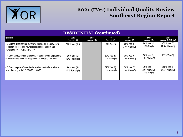

| <b>RESIDENTIAL (continued)</b>                                                                                                                               |                                |                     |                             |                             |                                           |                                 |  |  |  |
|--------------------------------------------------------------------------------------------------------------------------------------------------------------|--------------------------------|---------------------|-----------------------------|-----------------------------|-------------------------------------------|---------------------------------|--|--|--|
| Question                                                                                                                                                     | 2016<br>(sample=10)            | 2017<br>(sample=10) | 2018<br>(sample=9)          | 2019<br>(sample=10)         | 2020<br>(sample=10)                       | 2021<br>(sample=8, 2 Mi Via)    |  |  |  |
| 45. Did the direct service staff have training on the provider's<br>complaint process and how to report abuse, neglect and<br>exploitation? CPRQ51, '18IQR49 | 100% Yes (10)                  |                     | 100% Yes (9)                | 80% Yes (8)<br>20% Many (2) | 90% Yes (9)<br>10% No (1)                 | 87.5% Yes (7)<br>12.5% Many (1) |  |  |  |
| 46. Does the residential direct service staff have an appropriate<br>expectation of growth for this person? CPRQ52, '18IQR50                                 | 90% Yes (9)<br>10% Partial (1) |                     | 89% Yes (8)<br>11% Many (1) | 90% Yes (9)<br>10% Many (1) | 90% Yes (9)<br>10% Many (1)               | 100% Yes (8)                    |  |  |  |
| 47. Does the person's residential environment offer a minimal<br>level of quality of life? CPRQ53, '18IQR51                                                  | 90% Yes (9)<br>10% Partial (1) |                     | 89% Yes (8)<br>11% Many (1) | 70% Yes (7)<br>30% Many (3) | 70% Yes (7)<br>20% Many (2)<br>10% No (1) | 62.5% Yes (5)<br>37.5% Many (3) |  |  |  |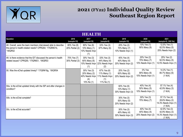

| HEALTH                                                                                                                                |                                |                                                                    |                                                                    |                                                   |                                                   |                                                                      |  |  |
|---------------------------------------------------------------------------------------------------------------------------------------|--------------------------------|--------------------------------------------------------------------|--------------------------------------------------------------------|---------------------------------------------------|---------------------------------------------------|----------------------------------------------------------------------|--|--|
| Question                                                                                                                              | 2016<br>(sample=10)            | 2017<br>(sample=10)                                                | 2018<br>(sample=9)                                                 | 2019<br>(sample=10)                               | 2020<br>(sample=10)                               | 2021<br>(sample=8, 2 Mi Via)                                         |  |  |
| 48. Overall, were the team members interviewed able to describe<br>the person's health-related needs? CPRQ54; '17IQR#21b,<br>'18IQR52 | 80% Yes (8)<br>20% Partial (2) | 80% Yes (8)<br>10% Many (1)<br>10% Needs Impv<br>(1)               | 33% Yes (3)<br>67% Many (6)                                        | 20% Yes (2)<br>70% Many (7)<br>10% Needs Impv (1) | 10% Yes (1)<br>90% Many (9)                       | 12.5% Yes (1)<br>62.5% Many (5)<br>25% Needs Impv (2)                |  |  |
| 49. Is there evidence that the IDT discussed the person's health<br>related issues? CPRQ55; '17IQR#21, '18IQR53                       | 70% Yes (7)<br>30% Partial (3) | 30% Yes (3)<br>60% Many (6)<br>10% Needs Impv<br>(1)               | 33% Yes (3)<br>44% Many (4)<br>22% Needs Impv<br>(2)               | 40% Yes (4)<br>40% Many (4)<br>20% Needs Impv (2) | 20% Yes (2)<br>70% Many (7)<br>10% Needs Impv (1) | 25% Yes (2)<br>62.5% Many (5)<br>12.5% Needs Impv (1)                |  |  |
| 50. Was the eChat updated timely? '17IQR#18g, '18IQR54                                                                                |                                | 30% Yes (3)<br>20% Many (2)<br>40% Needs Impv<br>(4)<br>10% No (1) | 67% Yes (6)<br>11% Many (1)<br>11% Needs Impv<br>(1)<br>11% No (1) | 20% Yes (2)<br>60% Many (6)<br>20% Needs Impv (2) | 0% Yes<br>90% Many (9)<br>10% Needs Impv (1)      | 14.3% Yes (1)<br>85.7% Many (6)<br>(1 N/A)                           |  |  |
| 50a. Is the eChat updated timely with the ISP and after changes in<br>condition?                                                      |                                |                                                                    |                                                                    | 60% Yes (6)<br>10% Many (1)<br>30% Needs Impv (3) | 40% Yes (4)<br>50% Many (5)<br>10% Needs Impv (1) | 57.1% Yes (4)<br>42.9% Many (3)<br>(1 N/A)                           |  |  |
| 50b. Is the eChat complete?                                                                                                           |                                |                                                                    |                                                                    | 30% Yes (3)<br>50% Many (5)<br>20% Needs Impv (2) | 30% Yes (3)<br>70% Many (7)                       | 57.1% Yes (4)<br>28.6% Many (2)<br>14.3% Needs Impv (1)  <br>(1 N/A) |  |  |
| 50c. Is the eChat accurate?                                                                                                           |                                |                                                                    |                                                                    | 30% Yes (3)<br>40% Many (4)<br>30% Needs Impv (3) | 40% Yes (4)<br>40% Many (4)<br>20% Needs Impv (2) | 42.9% Yes (3)<br>42.9% Many (3)<br>14.3% Needs Impv (1)  <br>(1 N/A) |  |  |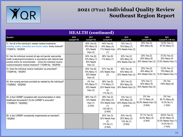

| <b>HEALTH</b> (continued)                                                                                                                                                                                                                                      |                     |                                                     |                                                                               |                                                              |                                                             |                                                                                      |  |  |  |
|----------------------------------------------------------------------------------------------------------------------------------------------------------------------------------------------------------------------------------------------------------------|---------------------|-----------------------------------------------------|-------------------------------------------------------------------------------|--------------------------------------------------------------|-------------------------------------------------------------|--------------------------------------------------------------------------------------|--|--|--|
| Question                                                                                                                                                                                                                                                       | 2016<br>(sample=10) | 2017<br>(sample=10)                                 | 2018<br>(sample=9)                                                            | 2019<br>(sample=10)                                          | 2020<br>(sample=10)                                         | 2021<br>(sample=8, 2 Mi Via)                                                         |  |  |  |
| 51. Are all of the individual's needed medical treatments,<br>including routine, scheduled and chronic needs, timely received?<br>17IQR#19, '18IQR55                                                                                                           |                     | 40% Yes (4)<br>30% Many (3)<br>30% Needs<br>Impv(3) | 44% Yes (4)<br>44% Many (4)<br>11% Needs Impv<br>(1)                          | 10% Yes (1)<br>70% Many (7)<br>20% Needs Impv (2)            | 20% Yes (2)<br>80% Many (8)                                 | 12.5% Yes (1)<br>87.5% Many (7)                                                      |  |  |  |
| 52. Has the individual received all age and gender appropriate<br>health screening/immunizations in accordance with national best<br>practice and/or as recommended  (Does the individual receive<br>routine/scheduled medical treatment? 17IQR#19a, '18IQR56) |                     | 60% Yes (6)<br>10% Many (1)<br>30% Needs<br>Impv(3) | 89% Yes (8)<br>11% Many (1)                                                   | 20% Yes (2)<br>30% Many (3)<br>50% Needs Impv (5)            | 20% Yes (2)<br>60% Many (6)<br>20% Needs Impv (2)           | 37.5% Yes (3)<br>50% Many (4)<br>12.5% Needs Impv (1)                                |  |  |  |
| 53. Does the individual receive medication as prescribed?<br>17IQR#19e, '18IQR57                                                                                                                                                                               |                     | 60% Yes (6)<br>10% Many (1)<br>30% Needs<br>Impv(3) | 67% Yes (6)<br>33% Needs Impv<br>(3)                                          | 40% Yes (4)<br>40% Many (4)<br>20% Needs Impv (2)            | 20% Yes (2)<br>40% Many (4)<br>40% Needs Impv (4)           | 12.5% Yes (1)<br>75% Many (6)<br>12.5% Needs Impv $(1)$                              |  |  |  |
| 54. Are nursing services provided as needed by the individual?<br>17IQR#20, '18IQR59                                                                                                                                                                           |                     | 0% Yes<br>70% Many (7)<br>30% Needs<br>Impv(3)      | 56% Yes (5)<br>11% Many (1)<br>22% Needs Impv<br>(2)<br>11% No (1)            | 20% Yes (2)<br>50% Many (5)<br>30% Needs Impv (3)            | 10% Yes (1)<br>50% Many (5)<br>40% Needs Impv (4)           | 0% Yes<br>100% Many (8)                                                              |  |  |  |
| 55. Is the CARMP consistent with recommendation in other<br>healthcare documents? (Is the CARMP is accurate?<br>'17IQR#21f, '18IQR60)                                                                                                                          |                     | 88% Yes (7)<br>13% Needs<br>Impv(1)<br>(2 N/A)      | 29% Yes (2)<br>43% Many (3)<br>14% Needs Impv<br>(1)<br>14% NO (1)<br>(2 N/A) | 13% Yes (1)<br>63% Many (5)<br>25% Needs Impv (2)<br>(2 N/A) | 0% Yes<br>57.1% Many (4)<br>42.9% Needs Impv (3)<br>(3 N/A) | 0% Yes<br>85.7% Many (6)<br>14.3% No (1)<br>(1 N/A)                                  |  |  |  |
| 56. Is the CARMP consistently implemented as intended?,<br>'18IQR61                                                                                                                                                                                            |                     |                                                     | 50% Yes (3)<br>32% Needs Impv<br>(2)<br>17% No (1)<br>(3 N/A)                 | 63% Yes (5)<br>25% Many (2)<br>13% No (1)<br>(2 N/A)         | 57.1% Yes (4)<br>42.9% Many (3)<br>(3 N/A)                  | 28.6% Yes (2)<br>42.9% Many (3)<br>14.3% Needs Impv $(1)$<br>14.3% No (1)<br>(1 N/A) |  |  |  |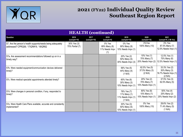

| <b>HEALTH</b> (continued)                                                                             |                                |                     |                                                 |                                                              |                                                   |                                                                    |  |  |  |
|-------------------------------------------------------------------------------------------------------|--------------------------------|---------------------|-------------------------------------------------|--------------------------------------------------------------|---------------------------------------------------|--------------------------------------------------------------------|--|--|--|
| Question                                                                                              | 2016<br>(sample=10)            | 2017<br>(sample=10) | 2018<br>(sample=9)                              | 2019<br>(sample=10)                                          | 2020<br>(sample=10)                               | 2021<br>(sample=8, 2 Mi Via)                                       |  |  |  |
| 57. Are the person's health supports/needs being adequately<br>addressed? CPRQ56; '17IQR#19, '18IQR62 | 30% Yes (3)<br>70% Partial (7) |                     | 0% Yes<br>89% Many (8)<br>11% Needs Impv<br>(1) | $0\%$ Yes<br>90% Many (9)<br>10% Needs Impv (1)              | 0%Yes<br>100% Many (10)                           | 0% Yes<br>87.5% Many (7)<br>12.5% Needs Impv $(1)$                 |  |  |  |
| 57a. Are assessment recommendations followed up on in a<br>timely way?                                |                                |                     |                                                 | 20% Yes (2)<br>50% Many (5)<br>30% Needs Impv (3)            | 10% Yes (1)<br>70% Many (7)<br>20% Needs Impv (2) | 12.5% Yes (1)<br>75% Many (6)<br>12.5% Needs Impv $(1)$            |  |  |  |
| 57b. Were needed equipment/communication devices delivered<br>timely?                                 |                                |                     |                                                 | 56% Yes (5)<br>44% Many (4)<br>(1 N/A)                       | 62.5% Yes (5)<br>37.5% Many (3)<br>(2 N/A)        | 33.3% Yes (2)<br>50% Many (3)<br>16.7% Needs Impv $(1)$<br>(2 N/A) |  |  |  |
| 57c. Were medical specialist appointments attended timely?                                            |                                |                     |                                                 | 60% Yes (6)<br>30% Many (3)<br>10% Needs Impv (1)            | 20% Yes (2)<br>70% Many (7)<br>10% Needs Impv (1) | 37.5% Yes (3)<br>62.5% Many (5)                                    |  |  |  |
| 57d. Were changes in personal condition, if any, responded to<br>timely?                              |                                |                     |                                                 | 78% Yes (7)<br>11% Many (1)<br>11% Needs Impv (1)<br>(1 N/A) | 80% Yes (8)<br>10% Many (1)<br>10% Needs Impv (1) | 50% Yes (4)<br>25% Many (2)<br>25% Needs Impv (2)                  |  |  |  |
| 57e. Were Health Care Plans available, accurate and consistently<br>implemented?                      |                                |                     |                                                 | 30% Yes (3)<br>50% Many (5)<br>10% Needs Impv (1)            | 0% Yes<br>100% Many (10)                          | 28.6% Yes (2)<br>71.4% Many (5)<br>(1 N/A)                         |  |  |  |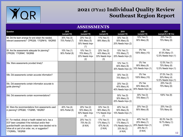

| <b>ASSESSMENTS</b>                                                                                                                                                                                                                                     |                                |                                                      |                                                      |                                                                            |                                                                            |                                                       |  |  |  |
|--------------------------------------------------------------------------------------------------------------------------------------------------------------------------------------------------------------------------------------------------------|--------------------------------|------------------------------------------------------|------------------------------------------------------|----------------------------------------------------------------------------|----------------------------------------------------------------------------|-------------------------------------------------------|--|--|--|
| Question                                                                                                                                                                                                                                               | 2016<br>(sample=10)            | 2017<br>(sample=10)                                  | 2018<br>(sample=9)                                   | 2019<br>(sample=10)                                                        | 2020<br>(sample=10)                                                        | 2021<br>(sample=8, 2 Mi Via)                          |  |  |  |
| 58. Did the team arrange for and obtain the needed,<br>relevant assessments? CPRQ58; '17IQR#18, '18IQR65                                                                                                                                               | 30% Yes (3)<br>70% Partial (7) | 20% Yes (2)<br>50% Many (5)<br>30% Needs Impv<br>(1) | 11% Yes (1)<br>89% Many (8)                          | 30% Yes (3)<br>50% Many (5)<br>20% Needs Impv (2)                          | 10% Yes (1)<br>90% Many (9)                                                | 25% Yes (2)<br>75% Many (6)                           |  |  |  |
| 59. Are the assessments adequate for planning?<br>CPRQ59; '17IQR#4f, '18IQR66                                                                                                                                                                          | 10% Yes (1)<br>90% Partial (9) | 10% Yes (1)<br>70% Many (7)<br>20% Needs Impv<br>(2) | 22% Yes (2)<br>44% Many (4)<br>33% Needs Impv<br>(3) | 10% Yes (1)<br>70% Many (7)<br>20% Needs Impv (2)                          | 0% Yes<br>100% Many (10)                                                   | 0% Yes<br>87.5% Many (7)<br>12.5% Needs Impv (1)      |  |  |  |
| 59a. Were assessments provided timely?                                                                                                                                                                                                                 |                                |                                                      |                                                      | 10% Yes (1)<br>60% Many (6)<br>30% Needs Impv (3)                          | 0% Yes<br>90% Many (9)<br>10% Needs Impv (1)                               | 12.5% Yes (1)<br>75% Many (6)<br>12.5% Needs Impv (1) |  |  |  |
| 59b. Did assessments contain accurate information?                                                                                                                                                                                                     |                                |                                                      |                                                      | 30% Yes (3)<br>70% Many (7)                                                | 0% Yes<br>100% Many (10)                                                   | 37.5% Yes (3)<br>50% Many (4)<br>12.5% Needs Impv (1) |  |  |  |
| 59c. Did assessments contain information accurate to<br>guide planning?                                                                                                                                                                                |                                |                                                      |                                                      | 20% Yes (2)<br>40% Many (4)<br>40% Needs Impv (4)                          | 0% Yes<br>60% Many (6)<br>40% Needs Impv (4)                               | 25% Yes (2)<br>75% Many (6)                           |  |  |  |
| 59d. Did assessments contain recommendations?                                                                                                                                                                                                          |                                |                                                      |                                                      | 50% Yes (5)<br>30% Many (3)<br>20% Needs Impv (2)                          | 30% Yes (3)<br>70% Many (7)                                                | 100% Yes (8)                                          |  |  |  |
| 60. Were the recommendations from assessments used<br>in planning? CPRQ60; '17IQR#5, '18IQR67                                                                                                                                                          | 40% Yes (4)<br>60% Partial (6) | 20% Yes (2)<br>50% Many (4)<br>50% Needs Impv<br>(4) | 33% Yes (3)<br>56% Many (5)<br>11% Needs Impv<br>(1) | 40% Yes (4)<br>50% Many (5)<br>10% Needs Impv (1)                          | 20% Yes (2)<br>80% Many (8)                                                | 25% Yes (2)<br>75% Many (6)                           |  |  |  |
| 61. For medical, clinical or health related rec's, has a<br>DCF been completed if the individual and/or their<br>guardian/health care decision maker have decided not to<br>follow all or part of an order, rec, or suggestion?<br>'17IQR#5c, '18IQR68 |                                | 25% Yes (1)<br>75% No (3)<br>(6 N/A)                 | 17% Yes (1)<br>17% Many (1)<br>67% No (4)<br>(3 N/A) | 33% Yes (2)<br>17% Many (1)<br>17% Needs Impv (1)<br>33% No (2)<br>(4 N/A) | 40% Yes (2)<br>20% Many (1)<br>20% Needs Impv (1)<br>20% No (1)<br>(5 N/A) | 83.3% Yes (5)<br>16.7% Many (1)<br>(2 N/A)<br>12      |  |  |  |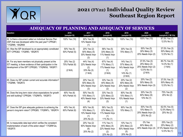

| <b>ADEQUACY OF PLANNING AND ADEQUACY OF SERVICES</b>                                                                                                                          |                                           |                                                                    |                                                                    |                                                                               |                                                                                |                                                                     |  |
|-------------------------------------------------------------------------------------------------------------------------------------------------------------------------------|-------------------------------------------|--------------------------------------------------------------------|--------------------------------------------------------------------|-------------------------------------------------------------------------------|--------------------------------------------------------------------------------|---------------------------------------------------------------------|--|
| Question                                                                                                                                                                      | 2016<br>(sample=10)                       | 2017<br>(sample=10)                                                | 2018<br>(sample=9)                                                 | 2019<br>(sample=10)                                                           | 2020<br>(sample=10)                                                            | 2021<br>(sample=8, 2 Mi Via)                                        |  |
| 62. Is there a document called an Individual Service Plan<br>(ISP) that was developed within the past year? CPRQ61;<br>'17IQR#9, '18IQR69                                     | 100% Yes (10)                             | 90% Yes (9)<br>10% Needs Impv<br>(1)                               | 100% Yes (9)                                                       | 100% Yes (10)                                                                 | 100% Yes (10)                                                                  | 87.5% Yes (7)<br>12.5% No (1)                                       |  |
| 63. Was the ISP developed by an appropriately constituted<br>IDT? CPRQ62; '17IQR#3, '18IQR70                                                                                  | 50% Yes (5)<br>50% Partial (5)            | 20% Yes (2)<br>50% Many (5)<br>30% Needs Impv<br>(3)               | 56% Yes (5)<br>33% Many (3)<br>11% Needs Impv<br>(1)               | 30% Yes (3)<br>70% Many (7)                                                   | 50% Yes (5)<br>30% Many (3)<br>20% Needs Impv (2)                              | 37.5% Yes (3)<br>50% Many (4)<br>12.5% No (1)                       |  |
| 64. For any team members not physically present at the<br>IDT meeting, is there evidence of their participation in the<br>development of the ISP? CPRQ63; '17IQR#3d, '18IQR71 | 25% Yes (2)<br>75% Partial (6)<br>(2 N/A) | 44% Yes (4)<br>22% Needs Impv<br>(2)<br>33% No (3)<br>(1 N/A)      | 67% Yes (4)<br>17% Many (1)<br>17% Needs Impv<br>(1)<br>(3 N/A)    | 14% Yes (1)<br>57% Many (4)<br>14% Needs Impv<br>(1)<br>14% No (1)<br>(3 N/A) | 37.5% Yes (3)<br>25% Many (2)<br>25% Needs Impv (2)<br>12.5% No (1)<br>(2 N/A) | 85.7% Yes (6)<br>14.3% No (1)<br>(1 N/A)                            |  |
| 65. Does my ISP contain current and accurate information?<br>'17IQR#6, '18IQR72                                                                                               |                                           | 20% Yes (2)<br>50% Many (5)<br>30% Needs Impv<br>(3)               | 33% Yes (3)<br>44% Many (4)<br>22% Needs Impv<br>(2)               | 20% Yes (2)<br>60% Many (6)<br>20% Needs Impv<br>(2)                          | 20% Yes (2)<br>50% Many (5)<br>30% Needs Impv (3)                              | 37.5% Yes (3)<br>50% Many (4)<br>12.5% No (1)                       |  |
| 66. Does the long term vision show expectations for growth<br>and skill building? CPRQ64; '17IQR#7b, '18IQR73                                                                 | 60% Yes (6)<br>40% Partial (4)            | 50% Yes (5)<br>10% Many (1)<br>40% Needs Impv<br>(4)               | 33% Yes (3)<br>22% Many (2)<br>33% Needs Impv<br>(3)               | 80% Yes (8)<br>10% Many (1)<br>10% Needs Impv<br>(1)                          | 30% Yes (3)<br>60% Many (6)<br>10% No (1)                                      | 75% Yes (6)<br>25% No (2)                                           |  |
| 67. Does the ISP give adequate guidance to achieving the<br>person's long-term vision? CPRQ65; '17IQR#7c, '18IQR74                                                            | 40% Yes (4)<br>60% Partial (6)            | 60% Yes (6)<br>10% Many (1)<br>10% Needs Impv<br>(1)<br>20% No (2) | 56% Yes (5)<br>22% Many (2)<br>11% Needs Impv<br>(1)<br>11% No (1) | 90% Yes (9)<br>10% Many (1)                                                   | 50% Yes (5)<br>10% Many (1)<br>20% Needs Impv (2)<br>20% No (2)                | 62.5% Yes (5)<br>12.5% Many (1)<br>25% No (2)                       |  |
| 68. Is measurable data kept which verifies the consistent<br>implementation of each of the action steps? '17IQR#12a,<br>'18IQR75                                              |                                           | 20% Yes (2)<br>60% Needs Impv<br>(6)<br>20% No (2)                 | 11% Yes (1)<br>44% Many (4)<br>22% Needs Impv<br>(2)               | 10% Yes (1)<br>20% Many (2)<br>50% Needs Impv<br>(5)                          | 0% Yes<br>60% Many (6)<br>40% Needs Impv (4)                                   | 25% Yes (2)<br>25% Many (2)<br>37.5% Needs Impv (3)<br>12.5% No (1) |  |

22% No (2)

20% No (2)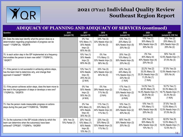

| Question                                                                                                                                                  | 2016<br>(sample=10)            | 2017<br>(sample=10)                                               | 2018<br>(sample=9)                                              | 2019<br>(sample=10)                                                        | 2020<br>(sample=10)                                                                | 2021<br>(sample=8, 2 Mi Via)                                                       |
|-----------------------------------------------------------------------------------------------------------------------------------------------------------|--------------------------------|-------------------------------------------------------------------|-----------------------------------------------------------------|----------------------------------------------------------------------------|------------------------------------------------------------------------------------|------------------------------------------------------------------------------------|
| 69. Does the data kept identify what the person does so a<br>determination regarding progress/lack of progress can be<br>made? '17IQR#12b, '18IQR76       |                                | 0% Yes<br>10% Many (1)<br>30% Needs<br>Impv(3)<br>60% No (6)      | 33% Yes (3)<br>33% Needs Impv (3)<br>33% No (3)                 | 10% Yes (1)<br>20% Many (2)<br>50% Needs Impv (5)<br>20% No (2)            | 10% Yes (1)<br>30% Many (3)<br>30% Needs Impv (3)<br>30% No (3)                    | 25% Yes (2)<br>25% Many (2)<br>25% Needs Impv (2)<br>25% No (2)                    |
| 70. Is each action step in the ISP implemented at a frequency<br>that enables the person to learn new skills? '17IQR#12c,<br>'18IQR77                     |                                | 10% Yes (1)<br>30% Needs<br>Impv(3)<br>60% No (6)                 | 0% Yes<br>11% Many (1)<br>33% Needs Impv (3)<br>56% No (5)      | 20% Yes (2)<br>10% Many (1)<br>50% Needs Impv (5)<br>20% No (2)            | 0% Yes<br>40% Many (4)<br>40% Needs Impv (4)<br>20% No (2)                         | 50% Yes (4)<br>12.5% Needs Impv (1)<br>37.5% No (3)                                |
| 71. If the person is not successful in achieving actions steps,<br>has the team tried to determine why, and change their<br>approach if needed? '18IQR78  |                                | 13% Yes (1)<br>63% Needs<br>Impv(5)<br>25% No (2)<br>(2 N/A)      | 33% Yes (3)<br>22% Needs Impv (2)<br>44% No (4)                 | 22% Yes (2)<br>44% Many (4)<br>11% Needs Impv (1)<br>22% No (2)<br>(1 N/A) | 22.2% Yes (2)<br>33.3% Many (3)<br>33.3% Needs Impv (3)<br>11.2% No (1)<br>(1 N/A) | 37.5% Yes (3)<br>12.5% Needs Impv (1)<br>50% No (4)                                |
| 72. If the person achieves action steps, does the team move to<br>the next in the progression of steps or develops a new one?<br>'17IQR#12c, '18IQR79     |                                | 0% Yes<br>50% Needs<br>Impv(3)<br>50% No (3)<br>(4 N/A)           | 0% Yes<br>29% Needs Impv (2)<br>71% No (5)<br>(2 N/A)           | 17% Yes (1)<br>17% Many (1)<br>33% Needs Impv (2)<br>33% No (2)<br>(4 N/A) | 14.3% Yes (1)<br>42.9% Many (3)<br>14.3% Needs Impv (1)<br>28.5% No (2)<br>(3 N/A) | 16.7% Yes (1)<br>33.3% Many (2)<br>16.7% Needs Impv (1)<br>33.3% No (2)<br>(1 N/A) |
| 73. Has the person made measurable progress on actions<br>steps during this past year?'17IQR#13b, '18IQR80                                                |                                | 0% Yes<br>30% Many (3)<br>40% Needs<br>Impv(4)<br>30% No (3)      | 11% Yes (1)<br>33% Many (3)<br>44% Needs Impv (4)<br>11% No (1) | 10% Yes (1)<br>30% Many (3)<br>20% Needs Impv (2)<br>40% No (4)            | 10% Yes (1)<br>10% Many (1)<br>60% Needs Impv (6)<br>20% No (2)                    | 37.5% Yes (3)<br>12.5% Many (1)<br>12.5% Needs Impv (1)<br>37.5% No (3)            |
| 74. Do the outcomes in the ISP include criteria by which the<br>team can determine when the outcome(s) have been<br>achieved? CPRQ67; '17IQR#7e, '18IQR81 | 30% Yes (3)<br>70% Partial (7) | 20% Yes (2)<br>10% Many (1)<br>60% Needs<br>Impv(6)<br>10% No (1) | 22% Yes (2)<br>33% Many (3)<br>33% Needs Impv (3)<br>11% No (1) | 50% Yes (5)<br>30% Needs Impv (3)<br>20% No (2)                            | 20% Yes (2)<br>50% Many (5)<br>20% Needs Impv (2)<br>10% No (1)                    | 62.5% Yes (5)<br>12.5% Many (1)<br>12.5% Needs Impv (1)<br>12.5% No (1)            |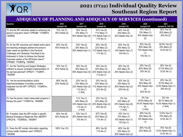

1<sub>5</sub>

| Question                                                                                                                                                                                                                                                                                                            | 2016<br>(sample=10)            | 2017<br>(sample=10)                                                        | 2018<br>(sample=9)                                              | 2019<br>(sample=10)                                                   | 2020<br>(sample=10)                                                | 2021<br>(sample=8, 2 Mi Via)                                        |
|---------------------------------------------------------------------------------------------------------------------------------------------------------------------------------------------------------------------------------------------------------------------------------------------------------------------|--------------------------------|----------------------------------------------------------------------------|-----------------------------------------------------------------|-----------------------------------------------------------------------|--------------------------------------------------------------------|---------------------------------------------------------------------|
| 75. Are the ISP outcomes related to achieving the<br>person's long-term vision? CPRQ68; '17IQR#7d,<br>'18IQR82                                                                                                                                                                                                      | 70% Yes (7)<br>30% Partial (3) | 30% Yes (3)<br>10% Many (1)<br>60% Needs Impv (6)                          | 67% Yes (6)<br>11% Many (1)<br>11% Needs Impv (1)<br>11% No (1) | 60% Yes (6)<br>20% Many (2)<br>20% Needs Impv (2)                     | 70% Yes (7)<br>10% Many (1)<br>20% Needs Impv<br>(2)               | 50% Yes (4)<br>25% Many (2)<br>25% No (2)                           |
| 76. Do the ISP outcomes and related action plans<br>and teaching strategies address the person's<br>major needs as identified in the Personal<br>Challenges and Obstacles That Need to be<br>Addressed In Order to Achieve the Desired<br>Outcomes section of the ISP/Action plans?"<br>CPRQ69; '17IQR#7g, '18IQR83 | 60% Yes (6)<br>40% Partial (4) | 20% Yes (2)<br>30% Many (3)<br>50% Needs Impv (1)                          | 56% Yes (5)<br>22% Many (2)<br>11% Needs Impv (1)<br>11% No (1) | 50% Yes (5)<br>30% Many (3)<br>10% Needs Impv (1)<br>10% No (1)       | 20% Yes (2)<br>60% Many (6)<br>10% Needs Impv<br>(1)<br>10% No (1) | 62.5% Yes (5)<br>25% Many (2)<br>12.5% No (1)                       |
| 77. Are the Teaching and Support Strategies<br>sufficient to ensure consistent implementation of<br>the services planned? CPRQ71; '17IQR#7i,<br>'18IQR84                                                                                                                                                            | 70% Yes (7)<br>30% Partial (3) | 20% Yes (2)<br>30% Many (3)<br>50% Needs Impv (5)                          | 33% Yes (3)<br>33% Many (3)<br>22% Needs Impv (2)<br>11% No (1) | 30% Yes (3)<br>50% Many (5)<br>20% Needs Impv (2)                     | 20% Yes (2)<br>60% Many (6)<br>20% No (2)                          | 50% Yes (4)<br>37.5% Many (3)<br>12.5% No (1)                       |
| 78. Are the recommendations and/or<br>objectives/strategies of ancillary providers<br>integrated into the ISP? CPRQ72; '17IQR#7m,<br>18IQR85                                                                                                                                                                        | 80% Yes (8)<br>20% Partial (2) | 33% Yes (3)<br>33% Many (3)<br>22% Needs Impv (2)<br>11% No (1)<br>(1 N/A) | 33% Yes (3)<br>33% Many (3)<br>11% Needs Impv (1)<br>22% No (2) | 30% Yes (3)<br>30% Many (3)<br>20% Needs Impv (2)<br>20% No (2)       | 10% Yes (1)<br>50% Many (5)<br>20% Needs Impv<br>(2)<br>20% No (2) | 25% Yes (2)<br>37.5% Many (3)<br>12.5% Needs Impv (1)<br>25% No (2) |
| 79. Has the person made measurable progress in<br>therapy this year? '17IQR#13a, '18IQR86                                                                                                                                                                                                                           |                                | 11% Yes (1)<br>44% Many (2)<br>33% Needs Impv (3)<br>11% No (1)<br>(1 N/A) | 33% Yes (3)<br>22% Many (2)<br>22% Needs Impv (2)<br>22% No (2) | 0% Yes<br>22% Many (2)<br>67% Needs Impv (6)<br>11% No (1)<br>(1 N/A) | 0% Yes<br>55.6% Many (5)<br>44.4% Needs Impv<br>(4)<br>(1 N/A)     | 0% Yes<br>85.7% Many (6)<br>14.3% Needs Impv (1)<br>(1 N/A)         |
| 80. If needed, does the ISP contain a specific<br>Medical Emergency Response Plan (MERP)?<br>CPRQ73b '17IQR#20c, '18IQR87                                                                                                                                                                                           | 60% Yes (6)<br>40% Partial (4) | 70% Yes (7)<br>20% Needs Impv (2)<br>10% No (1)                            | 67% Yes (6)<br>22% Many (2)<br>11% No (1)                       | 10% Yes (1)<br>70% Many (7)<br>10% Needs Impv (1)<br>10% No (1)       | $40\%$ Yes (4)<br>50% Many (5)<br>10% Needs Impv<br>(1)            | 12.5% Yes (1)<br>75% Many (6)<br>12.5% No (1)                       |
| 81. Does the ISP contain information regarding<br>primary health (medical) care? CPRQ74,<br>'18IQR88                                                                                                                                                                                                                | 100% Yes (10)                  |                                                                            | 89% Yes (8)<br>11% No (1)                                       | 60% Yes (6)<br>20% Many (2)<br>20% Needs Impv (2)                     | 80% Yes (8)<br>20% Many (2)                                        | 75% Yes (6)<br>12.5% Needs Impv (1)<br>12.5% No (1)                 |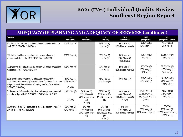

| Question                                                                                                                                                                                                          | 2016<br>(sample=10)                       | 2017<br>(sample=10)                                             | 2018<br>(sample=9)                                            | 2019<br>(sample=10)                                          | 2020<br>(sample=20)                                                | 2021<br>(sample=8, 2 Mi Via)                                     |
|-------------------------------------------------------------------------------------------------------------------------------------------------------------------------------------------------------------------|-------------------------------------------|-----------------------------------------------------------------|---------------------------------------------------------------|--------------------------------------------------------------|--------------------------------------------------------------------|------------------------------------------------------------------|
| 81a. Does the ISP face sheet contain contact information for<br>the PCP? CPRQ74a, '18IQR88a                                                                                                                       | 100% Yes (10)                             |                                                                 | 89% Yes (8)<br>11% No (1)                                     | 90% Yes (9)<br>10% Needs Impv (1)                            | 90% Yes (9)<br>10% Many (1)                                        | 75% Yes (6)<br>25% No (2)                                        |
| 81b. Is the Healthcare coordinator's name and contact<br>information listed in the ISP? CPRQ74b, '18IQR88b                                                                                                        | 100% Yes (10)                             |                                                                 | 89% Yes (8)<br>11% No (1)                                     | 60% Yes (6)<br>20% Many (2)<br>20% No (2)                    | 90% Yes (9)<br>10% No (1)                                          | 87.5% Yes (7)<br>12.5% No (1)                                    |
| 82. Does the ISP reflect how the person will obtain prescribed<br>medications? CPRQ76, '18IQR89                                                                                                                   | 100% Yes (10)                             |                                                                 | 89% Yes (8)<br>11% No (1)                                     | 80% Yes (8)<br>20% Needs Impv (2)                            | 80% Yes (8)<br>10% Many (1)<br>10% No (1)                          | 37.5% Yes (3)<br>12.5% Many (1)<br>50% No (4)                    |
| 83. Based on the evidence, is adequate transportation<br>available for the person? (Does the ISP reflect how the person<br>will get to work/day activities, shopping, and social activities?<br>CPRQ75, '18IQR90) | 50% Yes (1)<br>50% Partial (1)<br>(8 N/A) |                                                                 | 78% Yes (7)<br>22% Many (2)                                   | 100% Yes (10)                                                | 80% Yes (8)<br>20% Many (2)                                        | 62.5% Yes (5)<br>25% Many (2)<br>12.5% No (1)                    |
| 84. Does the ISP contain a list of adaptive equipment needed<br>and who will provide it? CPRQ77; '17IQR#25a, '18IQR91                                                                                             | 100% Yes (7)<br>(3 N/A)                   | 56% Yes (5)<br>22% Many (2)<br>22% Needs Impv<br>(2)<br>(1 N/A) | 67% Yes (6)<br>22% Many (2)<br>11% Needs Impv<br>(1)          | 44% Yes (4)<br>44% Many (4)<br>11% Needs Impv (1)<br>(1 N/A) | 44.4% Yes (4)<br>22.3% Many (2)<br>33.3% Needs Impv (3)<br>(1 N/A) | 75% Yes (6)<br>12.5% Many (1)<br>12.5% No (1)                    |
| 85. Overall, is the ISP adequate to meet the person's needs?<br>CPRQ78; '17IQR#7, '18IQR92                                                                                                                        | 30% Yes (3)<br>70% Partial (7)            | 0% Yes<br>10% Many (1)<br>90% Needs Impv<br>(9)                 | 0% Yes<br>56% Many (5)<br>33% Needs Impv<br>(3)<br>11% No (1) | $0\%$ Yes<br>70% Many (7)<br>30% Needs Impv (3)              | 0% Yes<br>80% Many (8)<br>20% Needs Impv (2)                       | 0% Yes<br>75% Many (6)<br>12.5% Needs Impv (1)  <br>12.5% No (1) |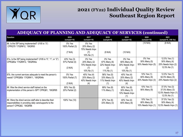

| Question                                                                                                                                         | 2016<br>(sample=10)                       | 2017<br>(sample=10)                                              | 2018<br>(sample=9)                                            | 2019<br>(sample=10)                                           | 2020<br>(sample=10)                               | 2021<br>(sample=8, 2 Mi Via)                                            |
|--------------------------------------------------------------------------------------------------------------------------------------------------|-------------------------------------------|------------------------------------------------------------------|---------------------------------------------------------------|---------------------------------------------------------------|---------------------------------------------------|-------------------------------------------------------------------------|
| 86. Is the ISP being implemented? (If 85 is "3")<br>CPRQ79 '17IQR#12, '18IQR93                                                                   | 0% Yes<br>100% Partial (3)<br>(7 N/A)     | $0\%$ Yes<br>20% Many (2)<br>70% Needs Impv<br>(7)<br>10% No (1) | (9 N/A)                                                       | (10 N/A)                                                      | (10 N/A)                                          | (8 N/A)                                                                 |
| 87a. Is the ISP being implemented? (If 85 is "0", "1", or "2")<br>CPRQ80a '17IQR#12, '18IQR94a                                                   | 43% Yes (3)<br>57% Partial (4)<br>(3 N/A) | 0% Yes<br>20% Many (2)<br>70% Needs Impv<br>(7)<br>10% No (1)    | 0% Yes<br>67% Many (6)<br>22% Needs Impv<br>(2)<br>11% No (1) | 0% Yes<br>60% Many (6)<br>30% Needs Impv<br>(3)<br>10% No (1) | 0% Yes<br>50% Many (5)<br>50% Needs Impv (5)      | 12.5% Yes (1)<br>50% Many (4)<br>25% Needs Impv (2)<br>12.5% No (1)     |
| 87b. Are current services adequate to meet the person's<br>needs? CPRQ80b '17IQR#11, '18IQR94b                                                   | 0% Yes<br>100% Partial (7)<br>(3 N/A)     | 40% Yes (4)<br>20% Many (2)<br>40% Needs Impv<br>(4)             | 56% Yes (5)<br>33% Many (3)<br>11% Needs Impv<br>(1)          | 40% Yes (4)<br>20% Many (2)<br>40% Needs Impv<br>(4)          | 10% Yes (1)<br>60% Many (6)<br>30% Needs Impv (3) | 12.5% Yes (1)<br>62.5% Many (5)<br>25% Needs Impv (2)                   |
| 88. Was the direct service staff trained on the<br>implementation of this person's ISP? CPRQ81, '18IQR95                                         | 80% Yes (8)<br>20% Partial (2)            |                                                                  | 89% Yes (8)<br>11% Many (1)                                   | 60% Yes (6)<br>30% Many (3)<br>10% Needs Impv<br>(1)          | 10% Yes (1)<br>90% Many (9)                       | 37.5% Yes (3)<br>37.5% Many (3)<br>12.5% Needs Impv (1)<br>12.5% No (1) |
| 89. Were the direct service staff able to describe their<br>responsibilities in providing daily care/supports to the<br>person? CPRQ82, '18IQR96 | 100% Yes (10)                             |                                                                  | 67% Yes (6)<br>33% Many (3)                                   | 40% Yes (4)<br>60% Many (6)                                   | 10% Yes (1)<br>80% Many (8)<br>10% Needs Impv (1) | 37.5% Yes (3)<br>50% Many (4)<br>12.5% Needs Impv (1)                   |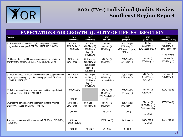

#### **EXPECTATIONS FOR GROWTH, QUALITY OF LIFE, SATISFACTION**

| Question                                                                                                                                              | 2016<br>(sample=10)                          | 2017<br>(sample=10)                                               | 2018<br>(sample=9)                                   | 2019<br>(sample=10)                                             | 2020<br>(sample=10)                               | 2021<br>(sample=8, 2 Mi Via)                                      |
|-------------------------------------------------------------------------------------------------------------------------------------------------------|----------------------------------------------|-------------------------------------------------------------------|------------------------------------------------------|-----------------------------------------------------------------|---------------------------------------------------|-------------------------------------------------------------------|
| 90. Based on all of the evidence, has the person achieved<br>progress in the past year? CPRQ84; '17IQR#13, '18IQR98                                   | 20% Yes (2)<br>70% Partial (7)<br>10% No (1) | 0% Yes<br>30% Many (2)<br>60% Needs<br>Impv(6)<br>10% No (1)      | 0% Yes<br>89% Yes (8)<br>11% Many (1)                | 30% Yes (3)<br>20% Many (2)<br>40% Needs Impv (4)<br>10% No (1) | 0% Yes<br>50% Many (5)<br>50% Needs Impv (5)      | 0% Yes<br>75% Many (6)<br>12.5% Needs Impv<br>(1)<br>12.5% No (1) |
| 91. Overall, does the IDT have an appropriate expectation of<br>growth for this person? CPRQ85; '17IQR#8d, '18IQR99                                   | 50% Yes (5)<br>50% Partial (5)               | 50% Yes (5)<br>20% Many (2)<br>20% Needs<br>Impv(2)<br>10% No (1) | 56% Yes (5)<br>44% Many (4)                          | 70% Yes (7)<br>30% Many (3)                                     | 70% Yes (7)<br>30% Many (3)                       | 75% Yes (6)<br>25% Many (2)                                       |
| 92. Was the person provided the assistance and support needed<br>to participate meaningfully in the planning process? CPRQ86;<br>'17IQR#1b, '18IQR100 | 90% Yes (9)<br>10% Partial (1)               | 7% Yes (7)<br>10% Many (1)<br>10% Needs<br>Impv(1)<br>10% No (1)  | 78% Yes (7)<br>11% Many (1)<br>11% Needs Impv<br>(1) | 70% Yes (7)<br>30% Many (3)                                     | 50% Yes (5)<br>40% Many (4)<br>10% No (1)         | 75% Yes (6)<br>25% Many (2)                                       |
| 93. Is the person offered a range of opportunities for participation<br>in each life area? CPRQ87, '18IQR101                                          | 100% Yes (8)<br>$(2$ CND)                    |                                                                   | 67% Yes (6)<br>11% Many (1)<br>22% Needs Impv<br>(2) | 70% Yes (7)<br>30% Many (3)                                     | 60% Yes (6)<br>40% Many (4)                       | 100% Yes (8)                                                      |
| 94. Does the person have the opportunity to make informed<br>choices? CPRQ88; '17IQR#30, '18IQR102                                                    | 75% Yes (3)<br>25% Partial (1)               | 50% Yes (5)<br>50% Many (5)                                       | 83% Yes (5)<br>17% Many (1)                          | 86% Yes (6)<br>14% Many (1)                                     | 75% Yes (6)<br>12.5% Many (1)<br>12.5% Needs Impv | 100% Yes (8)                                                      |
|                                                                                                                                                       | $(6$ CND $)$                                 |                                                                   | $(3$ CND)                                            | $(3$ CND)                                                       | (1)<br>$(2$ CND)                                  |                                                                   |
| 94a. About where and with whom to live? CPRQ89; '17IQR#23c,<br>'18IQR102a                                                                             | 0% Yes<br>100% Partial (1)                   |                                                                   | 100% Yes (5)                                         | 100% Yes (5)                                                    | 100% Yes (8)<br>$(2$ CND)                         | 100% Yes (8)                                                      |
|                                                                                                                                                       | $(9$ CND)                                    | $(10$ CND)                                                        | $(4$ CND)                                            | $(5$ CND)                                                       |                                                   |                                                                   |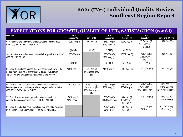

| <b>EXPECTATIONS FOR GROWTH, QUALITY OF LIFE, SATISFACTION (cont'd)</b>                                                                                                                 |                                |                                                      |                                      |                                           |                                                   |                                                       |
|----------------------------------------------------------------------------------------------------------------------------------------------------------------------------------------|--------------------------------|------------------------------------------------------|--------------------------------------|-------------------------------------------|---------------------------------------------------|-------------------------------------------------------|
| Question                                                                                                                                                                               | 2016<br>(sample=10)            | 2017<br>$(sample=10)$                                | 2018<br>(sample=9)                   | 2019<br>(sample=10)                       | 2020<br>(sample=10)                               | 2021<br>(sample=8, 2 Mi Via)                          |
| 94b. About where and with whom to work/spend his/her day?<br>CPRQ90; '17IQR#23d, '18IQR102b                                                                                            | 100% Yes (4)                   | 100% Yes (5)                                         | 67% Yes (4)<br>33% Many (2)          | 100% Yes (6)                              | 85.7% Yes (6)<br>14.3% Many (1)<br>$(3$ CND)      | 100% Yes (8)                                          |
|                                                                                                                                                                                        | $(6$ CND $)$                   | $(5$ CND)                                            | $(3$ CND)                            | $(4$ CND)                                 |                                                   |                                                       |
| 94c. About where and with whom to socialize/spend leisure time?<br>CPRQ91, '18IQR102c                                                                                                  | 100% Yes (4)                   |                                                      | 83% Yes (5)<br>17% Many (1)          | 100% Yes (7)                              | 75% Yes (6)<br>12.5% Many (1)<br>12.5% No (1)     | 100% Yes (8)                                          |
|                                                                                                                                                                                        | $(6$ CND $)$                   |                                                      | $(3$ CND $)$                         | $(3$ CND)                                 | $(2$ CND)                                         |                                                       |
| 95. Does the evidence support that providers do not prevent the<br>person from pursuing relationships? CPRQ92; '17IQR#31f,<br>'18IQR103 (and are respecting the rights of this person) | 100% Yes (10)                  | 86% Yes (6)<br>14% Needs Impv<br>(1)<br>$(3$ CND)    | 100% Yes (9)                         | 100% Yes (10)                             | 100% Yes (10)                                     | 100% Yes (8)                                          |
| 96. Overall, were all team members interviewed trained or<br>knowledgeable on how to report abuse, neglect and exploitation?<br>CPR 93*; '17IQR#35a, '18IQR105                         | 100% Yes (10)                  | 70% Yes (7)<br>20% Many (2)<br>10% Needs Impv<br>(1) | 78% Yes (7)<br>22% Many (2)          | 60% Yes (6)<br>40% Many (4)               | 50% Yes (5)<br>40% Many (4)<br>10% Needs Impv (1) | 50% Yes (4)<br>37.5% Many (3)<br>12.5% Needs Impv (1) |
| 97. Does this person and/or guardian have access to the<br>complaint processes/procedures? CPRQ94, '18IQR106                                                                           | 90% Yes (9)<br>10% Partial (1) |                                                      | 89% Yes (8)<br>11% Needs Impv<br>(1) | 80% Yes (8)<br>10% Many (1)<br>10% No (1) | 100% Yes (10)                                     | 75% Yes (6)<br>25% Many (2)                           |
| 98. Does the individual have restrictions that should be reviewed<br>by a Human Rights Committee? '17IQR#34h, '18IQR107                                                                |                                |                                                      | 78% Yes (7)<br>22% No (2)            | 60% Yes (6)<br>40% No (4)                 | 70% Yes (7)<br>$30\%$ No $(3)$                    | 87.5% Yes (7)<br>12.5% No (1)                         |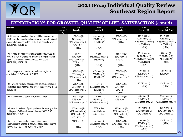

#### **EXPECTATIONS FOR GROWTH, QUALITY OF LIFE, SATISFACTION (cont'd) Question 2016 (sample=1 0) 2017 (sample=10) 2018 (sample=9) 2019 (sample=10) 2020 (sample=10) 2021 (sample=8, 2 Mi Via)** 99. If there are restrictions that should be reviewed by HRC, have the restrictions been reviewed (quarterly) and approved (annually) by the HRC? If no, describe why. '17IQR#34i, '18IQR108 17% Yes (1) 17% Many (1) 50% Needs Impv (3) 17% No (1) (4 N/A) 50% Yes (3) 17% Many (1) 33% No (2) (3 N/A) 83% Yes (5) 17% Needs Impv (1) (4 N/A) 28.6% Yes (2) 42.8% Many (3) 14.3% Needs Impv (1) 14.3% No (1) (3 N/A) 57.1% Yes (4) 14.3% Many (1) 14.3% Needs Impv (1) 14.3% No (1) (1 N/A) 100. If there are restrictions that should be reviewed by HRC, is a plan to enable the individual to regain his/her rights and reduce or eliminate these restrictions? '17IQR#34j, '18IQR109 0% Yes 17% Many (1) 50% Needs Impv (3) 33% No (2) (4 N/A) 17% Yes (1) 17% Needs Impv (1) 67% No (4) (3 N/A) 33% Yes (2) 33% Many (2) 33% No (2) (4 N/A) 57.1% Yes (4) 14.3% Many (1) 14.3% Needs Impv (1) 14.3% No (1) (3 N/A) 50% Yes (3) 33.3% Many (2) 16.7% No (1) (2 N/A) 101. Is the person protected from abuse, neglect and exploitation? '17IQR#35, '18IQR110 33% Yes (3) 33% Many (3) 33% Needs Impv (3) (1 N/A) 67% Yes (6) 22% Many (2) 11% No (1) 70% Yes (7) 10% Many (1) 20% Needs Impv (2) 30% Yes (3) 60% Many (6) 10% Needs Impv (1) 50% Yes (4) 50% Many (4) 102. Have all incidents of suspected abuse, neglect and exploitation been reported and investigated? '17IQR#35b, '18IQR111 50% Yes (4) 25% Many (2) 25% Needs Impv (2) (2 N/A) 75% (6) 13% Needs Impv (1) 13% No (1) (1 N/A) 60% Yes (3) 20% Many (1) 20% No (1) (5 N/A) 100% Yes (7) (3 N/A) 100% Yes (7)  $(1 N/A)$ 103. Is the individual safe? '17IQR#24, '18IQR112  $\vert$  60% Yes (6) 20% Many (2) 20% Needs Impv (2) 78% Yes (7) 11% Many (1) 11% Needs Impv (1) 60% Yes (6) 40% Many (4) 60% Yes (6) 20% Many (2) 20% Needs Impv (2) 62.5% Yes (5) 25% Many (2) 12.5% Needs Impv (1) 104. What is the level of participation of the legal guardian in this person's life and service planning? CPRQ 97; '17IQR#15a, '18IQR113 20% Active (2) 40% Moderate (4) 20% Limited (2) 20% None (2) 33% Active 33% Moderate 33% Limited 38% Active (3) 25% Moderate (2) 38% Limited (3) (2 N/A) 30% Active (3) 30% Moderate (3) 40% Limited (4) 25% Active (2) 50% Moderate (4) 25% Limited (2) 105. If the person is retired, does he/she have opportunities to engage in activities of interest during the day? CPRQ 100; '17IQR#29b, '18IQR114 100% Yes (2) (8 N/A) 75% Yes (3) 25% Needs Impv (1) (5 N/A) 33% Yes (1) 67% Needs Impv (2) (7 N/A) 40% Yes (2) 40% Many (2) 20% Needs Impv (1) (5 N/A) 100% Yes (3) (5 N/A)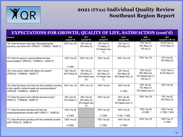

staff? CPRQ112, '18IQR121

### **2021 (FY22) Individual Quality Review Southeast Region Report**

#### **EXPECTATIONS FOR GROWTH, QUALITY OF LIFE, SATISFACTION (cont'd) Question 2016 (sample=10) 2017 (sample=10) 2018 (sample=9) 2019 (sample=10) 2020 (sample=10) 2021 (sample=8, 2 Mi Via)** 106. Does the person have daily choices/appropriate autonomy over his/her life? CPRQ101 '17IQR#30, '18IQR115 100% Yes (10) | 50% Yes (5) 50% Many (5) 78% Yes (7) 11% Many (1) 11% Needs Impv (1) 70% Yes (7) 30% Many (3) 70% Yes (7) 20% Many (2) 10% No (1) 87.5% Yes (7) 12.5% Many (1) 107. Have the person's cultural preferences been accommodated? CPRQ102; '17IQR#31e, '18IQR116 100% Yes (9) (1 CND) 100% Yes (10) 100% Yes (9) 100% Yes (10) 100% Yes (10) 75% Yes (6) 25% Many (2) 108. Is the person treated with dignity and respect? CPRQ103; '17IQR#34c, '18IQR117 60% Yes (6) 40% Partial (4) 30% Yes (3) 10% Many (1) 60% Needs Impv (6) 44% Yes (4) 44% Many (4) 11% Needs Impv (1) 20% Yes (2) 50% Many (5) 30% Needs Impv (3) 20% Yes (2) 60% Many (6) 10% Needs Impv (1) 10% No (1) 12.5% Yes (1) 87.5% Many (7) 109. Does the person have food and drink available according to their specific nutritional needs and recommendations? CPRQ108; '17IQR#23e, '18IQR118 100% Yes (10) 100% Yes (10) 100% Yes (9) 100% Yes (9) (1 CND) 80% Yes (8) 10% Many (1) 10% Needs Impv (1) 100% Yes (8) 110. Does the person have sufficient personal money? CPRQ110 '17IQR#34f, '18IQR119 90% Yes (9) 10% Partial (1) 60% Yes (6) 20% Many (2) 20% Needs Impv (2) 100% Yes (9) 60% Yes (6) 30% Many (3) 10% Needs Impv (1) 100% Yes (10) 75% Yes (6) 25% Many (2) 111. Does the person get along with their day program/employment provider staff? CPRQ111, '18IQR120 100% Yes (6) (4 CND) 100% Yes (8) (1 CND) 100% Yes (8) (1 N/A, 1 CND) 100% Yes (8) (2 CND) 100% Yes (6) (1 CND; 1 N/A) 112. Does the person get along with their residential provider 100% Yes (6) 100% Yes (8) 100% Yes (9) 100% Yes (10) 100% Yes (7)

(1 CND)

(1 CND)

(4 CND)

(1 CND)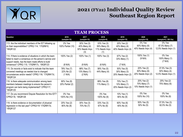

| <b>TEAM PROCESS</b>                                                                                                                                                                                                     |                                      |                                                      |                                                      |                                                   |                                                   |                                                       |  |  |  |
|-------------------------------------------------------------------------------------------------------------------------------------------------------------------------------------------------------------------------|--------------------------------------|------------------------------------------------------|------------------------------------------------------|---------------------------------------------------|---------------------------------------------------|-------------------------------------------------------|--|--|--|
| Question                                                                                                                                                                                                                | 2016<br>(sample=10)                  | 2017<br>(sample=10)                                  | 2018<br>(sample=9)                                   | 2019<br>(sample=10)                               | 2020<br>(sample=10)                               | 2021<br>(sample=8, 2 Mi Via)                          |  |  |  |
| 113. Are the individual members of the IDT following up<br>on their responsibilities? CPRQ 114; '17IQR#10,<br>'18IQR122                                                                                                 | 0% Yes<br>100% Partial (10)          | 30% Yes (3)<br>40% Many (4)<br>30% Needs Impv<br>(3) | 33% Yes (3)<br>56% Many (5)<br>11% Needs Impv<br>(1) | 20% Yes (2)<br>40% Many (4)<br>40% Needs Impv (4) | 0% Yes<br>60% Many (6)<br>40% Needs Impv (4)      | 0% Yes<br>87.5% Many (7)<br>12.5% Needs Impv (1)      |  |  |  |
| 114. If there is evidence of situations in which the team<br>failed to reach a consensus on the person's service and<br>support needs, has the team made efforts to build<br>consensus? CPRQ 115; '17IQR#17c, '18IQR123 | 100% Yes (2)<br>(8 N/A)              | 100% Yes (1)<br>(9 N/A)                              | 100% Yes (3)<br>(6 N/A)                              | 67% Yes (2)<br>33% Many (1)<br>(7 N/A)            | 100% Yes (1)<br>(9 N/A)                           | 0% Yes<br>100% Many (1)<br>(7 N/A)                    |  |  |  |
| 115. Do records or facts exist to indicate that the team<br>convened meetings as needed due to changed<br>circumstances and/or needs? CPRQ 116; '17IQR#17d,<br>'18IQR124                                                | 78% Yes (7)<br>22% No (2)<br>(1 N/A) | 88% Yes (7)<br>13% Many (1)<br>(2 N/A)               | 56% Yes (5)<br>44% Many (4)                          | 50% Yes (5)<br>30% Many (3)<br>20% Needs Impy (2) | 20% Yes (2)<br>60% Many (6)<br>20% Needs Impv (2) | 37.5% Yes (3)<br>50% Many (4)<br>12.5% Needs Impv (1) |  |  |  |
| 116. Is there adequate communication among team<br>members between meetings to ensure the person's<br>program can be/is being implemented? CPRQ117,<br>'18IQR125                                                        | 80% Yes (8)<br>20% Partial (2)       |                                                      | 89% Yes (8)<br>11% Many (1)                          | 70% Yes (7)<br>10% Many (1)<br>20% Needs Impv (2) | 20% Yes (2)<br>70% Many (7)<br>10% Needs Impv (1) | 25% Yes (2)<br>75% Many (6)                           |  |  |  |
| 117. Do you recommend Dispute Resolution for this IDT?<br>CPRQ118, '18IQR126                                                                                                                                            | 0% Yes<br>100% No (10)               |                                                      | 0% Yes<br>100% No (9)                                | 10% Yes (1)<br>90% No (9)                         | $0\%$ Yes<br>100% No (10)                         | $0\%$ Yes<br>100% No (8)                              |  |  |  |
| 118. Is there evidence or documentation of physical<br>regression in the last year? CPRQ119 '17IQR#17d,<br>'18IQR127                                                                                                    | 20% Yes (2)<br>80% No (8)            | 30% Yes (3)<br>70% No (7)                            | 33% Yes (3)<br>67% No (6)                            | 60% Yes (6)<br>40% No (4)                         | 50% Yes (5)<br>50% No (5)                         | 37.5% Yes (3)<br>62.5% No (5)                         |  |  |  |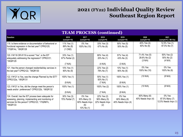

| <b>TEAM PROCESS (continued)</b>                                                                                                                                          |                                           |                                                               |                                                      |                                              |                                          |                                                       |  |  |  |
|--------------------------------------------------------------------------------------------------------------------------------------------------------------------------|-------------------------------------------|---------------------------------------------------------------|------------------------------------------------------|----------------------------------------------|------------------------------------------|-------------------------------------------------------|--|--|--|
| Question                                                                                                                                                                 | 2016<br>(sample=10)                       | 2017<br>(sample=10)                                           | 2018<br>(sample=9)                                   | 2019<br>(sample=10)                          | 2020<br>(sample=10)                      | 2021<br>(sample=8, 2 Mi Via)                          |  |  |  |
| 119. Is there evidence or documentation of behavioral or<br>functional regression in the last year? CPRQ120;<br>'17IQR14c, '18IQR128                                     | 11% Yes (1)<br>89% No (8)<br>$(1$ CND $)$ | 0% Yes<br>100% No (10)                                        | 33% Yes (3)<br>67% No (6)                            | 50% Yes (5)<br>50% No (5)                    | 40% Yes (4)<br>60% No (6)                | 12.5% Yes (1)<br>87.5% No (7)                         |  |  |  |
| 120. If #118 OR #119 is scored "Yes", is the IDT<br>adequately addressing the regression? CPRQ121;<br>'18IQR129                                                          | 33% Yes (1)<br>67% Partial (2)<br>(7 N/A) |                                                               | 80% Yes (4)<br>20% No (1)<br>(4 N/A)                 | 57% Yes (4)<br>43% No (3)<br>(3 N/A)         | 71.4% Yes (5)<br>28.6% No (2)<br>(3 N/A) | 50% Yes (2)<br>50% No (2)<br>(4 N/A)                  |  |  |  |
| 121. Has the person changed residential/day services in<br>the last year? CPRQ122, '18IQR130                                                                             | 10% Yes (1)<br>90% No (9)                 |                                                               | 22% Yes (2)<br>78% No (7)                            | 10% Yes (1)<br>90% No (9)                    | 0% Yes<br>100% No (10)                   | 0% Yes<br>100% No (8)                                 |  |  |  |
| 122. If #121 is Yes, was the change Planned by the IDT?<br>CPRQ122a, '18IQR131                                                                                           | 100% Yes (1)<br>(9 N/A)                   |                                                               | 50% Yes (1)<br>50% No (1)<br>(7 N/A)                 | 100% Yes (1)<br>(9 N/A)                      | (10 N/A)                                 | (8 N/A)                                               |  |  |  |
| 123. If #121 is Yes, did the change meet the person's<br>needs and/or preferences? CPRQ122b, '18IQR132                                                                   | 100% Yes (1)<br>(9 N/A)                   |                                                               | 100% Yes (2)<br>(7 N/A)                              | 100% Yes (1)<br>(9 N/A)                      | (10 N/A)                                 | (8 N/A)                                               |  |  |  |
| 124. Overall, has the IDT process been adequate for<br>assessing, planning, implementing and monitoring of<br>services for this person? CPRQ123; '17IQR#7n,<br>'18IQR133 | 30% Yes (3)<br>70% Partial (7)            | 0% Yes<br>30% Many (3)<br>60% Needs Impv<br>(6)<br>10% No (1) | 22% Yes (2)<br>56% Many (5)<br>22% Needs Impv<br>(2) | 0% Yes<br>60% Many (6)<br>40% Needs Impv (4) | 60% Many (6)<br>40% Needs Impv (4)       | $0\%$ Yes<br>87.5% Many (7)<br>12.5% Needs Impv $(1)$ |  |  |  |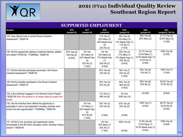

| <b>SUPPORTED EMPLOYMENT</b>                                                                                                                                                          |                                      |                                                                          |                                                                          |                                                                            |                                                                                    |                                            |  |  |  |
|--------------------------------------------------------------------------------------------------------------------------------------------------------------------------------------|--------------------------------------|--------------------------------------------------------------------------|--------------------------------------------------------------------------|----------------------------------------------------------------------------|------------------------------------------------------------------------------------|--------------------------------------------|--|--|--|
| Question                                                                                                                                                                             | 2016<br>(sample=10)                  | 2017<br>(sample=10)                                                      | 2018<br>(sample=9)                                                       | 2019<br>(sample=10)                                                        | 2020<br>(sample=10)                                                                | 2021<br>(sample=8, 2 Mi Via)               |  |  |  |
| 125. Does (Name) have a current Person-Centered<br>Assessment? '18IQR134                                                                                                             |                                      |                                                                          | 11% Yes (1)<br>22% Many (2)<br>44% Needs Impv<br>(4)<br>22% No (2)       | 44% Yes (4)<br>33% Many (3)<br>11% Needs Impv (1)<br>11% No (1)<br>(1 N/A) | 80% Yes (8)<br>20% Many (2)                                                        | 57.1% Yes (4)<br>42.9% Many (3)<br>(1 N/A) |  |  |  |
| 126. Did this assessment address vocational interests, abilities<br>and needs? CPRQ126; '17IQR#26a, '18IQR135                                                                        | 67% Yes (4)<br>33% No (2)<br>(4 N/A) | 0% Yes<br>22% Many (2)<br>44% Needs Impv<br>(4)<br>33% No (3)<br>(1 N/A) | 0% Yes<br>33% Many (2)<br>17% Needs Impv<br>(1)<br>50% No (3)<br>(3 N/A) | 33% Yes (2)<br>17% Many (1)<br>17% Needs Impv (1)<br>33% No (2)<br>(4 N/A) | 57.1% Yes (4)<br>14.3% Many (1)<br>14.3% Needs Impv (1)<br>14.3% No (1)<br>(3 N/A) | 100% Yes (6)<br>(2 N/A)                    |  |  |  |
| 127. Did the individual participate personally in the Person<br>Centered Assessment? '18IQR136                                                                                       |                                      |                                                                          | 67% Yes (6)<br>33% No (3)                                                | 78% Yes (7)<br>22% No (2)<br>(1 N/A)                                       | 90% Yes (9)<br>10% No (1)                                                          | 100% Yes (7)<br>(1 N/A)                    |  |  |  |
| 128. Did the Guardian participate in the Person Centered<br>Assessment? '18IQR137                                                                                                    |                                      |                                                                          | 33% Yes (3)<br>67% No (6)                                                | 44% Yes (4)<br>56% No (5)<br>(1 N/A)                                       | 80% Yes (8)<br>20% No (2)                                                          | 62.5% Yes (5)<br>37.5% No (3)              |  |  |  |
| 129. Is the individual engaged in the Informed Choice Project?<br>18IQR138 Note: this question is no longer asked as project has<br>ended.                                           |                                      |                                                                          | 11% Yes (1)<br>89% No (8)                                                | 0% Yes<br>100% No (10)                                                     | (10 N/A)                                                                           | (8 N/A)                                    |  |  |  |
| 130. Has the individual been offered the opportunity to<br>participate in work or job exploration including volunteer work<br>and/or trial work opportunities? '17IQR#26e, '18IQR139 |                                      | 0% Yes<br>11% Many (1)<br>22% Needs Impv<br>(2)<br>67% No (6)            | 33% Yes (2)<br>67% No (4)<br>(3 N/A)                                     | 67% Yes (4)<br>33% No (2)<br>(4 N/A)                                       | 100% Yes (7)<br>(3 N/A)                                                            | 66.7% Yes (4)<br>33.3% No (2)<br>(2 N/A)   |  |  |  |
| 131. If #130 is Yes, are these new experiences clearly<br>documented in the ISP Work, Education and/or Volunteer History<br>section? '18IQR140                                       |                                      | (1 N/A)                                                                  | 0% Yes<br>50% Many (1)<br>50% No (1)<br>(7 N/A)                          | 100% Yes (4)<br>(6 N/A)                                                    | 71.4% Yes (5)<br>14.3% Many (1)<br>14.3% Needs Impv (1)<br>(3 N/A)                 | 100% Yes (4)<br>(4 N/A)                    |  |  |  |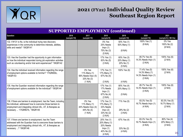

| <b>SUPPORTED EMPLOYMENT (continued)</b>                                                                                                                                                                                               |                     |                                                                       |                                                                              |                                                      |                                                                    |                                               |  |  |  |
|---------------------------------------------------------------------------------------------------------------------------------------------------------------------------------------------------------------------------------------|---------------------|-----------------------------------------------------------------------|------------------------------------------------------------------------------|------------------------------------------------------|--------------------------------------------------------------------|-----------------------------------------------|--|--|--|
| Question                                                                                                                                                                                                                              | 2016<br>(sample=10) | 2017<br>(sample=10)                                                   | 2018<br>(sample=9)                                                           | 2019<br>(sample=10)                                  | 2020<br>(sample=10)                                                | 2021<br>(sample=8, 2 Mi Via)                  |  |  |  |
| 132. If #131 is No, is the individual trying new discovery<br>experiences in the community to determine interests, abilities,<br>skills and needs? '18IQR141                                                                          |                     |                                                                       | 0% Yes<br>25% Needs<br>Impv(1)<br>75% No (3)<br>(5 N/A)                      | 50% Yes (1)<br>50% Many (1)<br>(8 N/A)               | 100% Yes (1)<br>(9 N/A)                                            | $0\%$ Yes<br>100% No (2)<br>(6 N/A)           |  |  |  |
| 133. Has the Guardian had the opportunity to gain information<br>on how the individual responded during job exploration activities<br>such as volunteering and/or trial work experiences? '18IQR142                                   |                     |                                                                       | 17% Yes (1)<br>83% No (5)<br>(3 N/A)                                         | 60% Yes (3)<br>20% Many (1)<br>20% No (1)<br>(5 N/A) | 85.7% Yes (6)<br>14.3% Needs Impv (1)<br>(3 N/A)                   | 100% Yes (6)<br>(2 N/A)                       |  |  |  |
| 134. Has the individual received information regarding the range<br>of employment options available to him/her? '17IQR#26c,<br>'18IQR143                                                                                              |                     | 0% Yes<br>11% Many (1)<br>56% Needs Impv (5)<br>33% No (3)<br>(1 N/A) | 17% Yes (1)<br>17% Many (1)<br>67% No (4)<br>(3 N/A)                         | 100% Yes (6)<br>(4 N/A)                              | 71.4% Yes (5)<br>14.3% Many (1)<br>14.3% Needs Impv (1)<br>(3 N/A) | 100% Yes (6)<br>(2 N/A)                       |  |  |  |
| 135. Has the Guardian received information regarding the range<br>of employment options available for the individual? '18IQR144                                                                                                       |                     |                                                                       | 17% Yes (1)<br>17% Needs<br>Impv(1)<br>67% No (4)<br>(3 N/A)                 | 80% Yes (4)<br>20% Many (1)<br>(5 N/A)               | 85.7% Yes (6)<br>14.3% Needs Impv (1)<br>(3 N/A)                   | 100% Yes (6)<br>(2 N/A)                       |  |  |  |
| 136. If there are barriers to employment, has the Team, including<br>the individual, addressed how to overcome those barriers to<br>employment and integrating clinical info., AT, & therapies as<br>necessary  '17IQR#27b, '18IQR145 |                     | 0% Yes<br>11% Many (1)<br>44% Needs Impv (4)<br>44% No (4)<br>(1 N/A) | 17% Yes (1)<br>17% Many (1)<br>33% Needs<br>Impv(2)<br>33% No (2)<br>(3 N/A) | 71% Yes (5)<br>29% No (2)<br>(3 N/A)                 | 83.3% Yes (5)<br>16.7% Needs Impv (1)<br>(4 N/A)                   | 83.3% Yes (5)<br>16.7% Many (1)<br>(2 N/A)    |  |  |  |
| 137. If there are barriers to employment, has the Team<br>addressed with the Guardian how to overcome those barriers to<br>employment and integrating clinical info., AT, & therapies as<br>necessary ? '18IQR146                     |                     |                                                                       | 20% Yes (1)<br>20% Many (1)<br>20% Needs<br>Impv(1)<br>40% No (2)<br>(4 N/A) | 67% Yes (4)<br>33% No (2)<br>(4 N/A)                 | 83.3% Yes (5)<br>16.7% Needs Impv (1)<br>(4 N/A)                   | 80% Yes (4)<br>20% Many (1)<br>(3 N/A)<br>2,1 |  |  |  |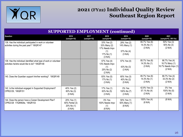

| <b>SUPPORTED EMPLOYMENT (continued)</b>                                                                            |                                                         |                     |                                                                               |                                                      |                                          |                                                                      |  |  |
|--------------------------------------------------------------------------------------------------------------------|---------------------------------------------------------|---------------------|-------------------------------------------------------------------------------|------------------------------------------------------|------------------------------------------|----------------------------------------------------------------------|--|--|
| Question                                                                                                           | 2016<br>(sample=10)                                     | 2017<br>(sample=10) | 2018<br>(sample=9)                                                            | 2019<br>(sample=10)                                  | 2020<br>(sample=10)                      | 2021<br>(sample=8, 2 Mi Via)                                         |  |  |
| 138. Has the individual participated in work or volunteer<br>activities during the past year? '18IQR147            |                                                         |                     | 33% Yes (2)<br>33% Many (2)<br>17% Needs Impv<br>(1)<br>17% No (1)<br>(3 N/A) | 29% Yes (2)<br>14% Many (1)<br>57% No (4)<br>(3 N/A) | 85.7% Yes (6)<br>14.3% No (1)<br>(3 N/A) | 50% Yes (3)<br>50% No (3)<br>(2 N/A)                                 |  |  |
| 139. Has the individual identified what type of work or volunteer<br>activities he/she would like to do? '18IQR148 |                                                         |                     | 57% Yes (4)<br>13% Needs Impv<br>(1)<br>25% No (2)<br>(2 N/A)                 | 57% Yes (4)<br>43% No (3)<br>(3 N/A)                 | 85.7% Yes (6)<br>14.3% No (1)<br>(3 N/A) | 66.7% Yes (4)<br>16.7% Many (1)<br>16.7% Needs Impv $(1)$<br>(2 N/A) |  |  |
| 140. Does the Guardian support him/her working? '18IQR149                                                          |                                                         |                     | 83% Yes (5)<br>17% No (1)<br>(3 N/A)                                          | 60% Yes (3)<br>40% No (2)<br>(5 N/A)                 | 85.7% Yes (6)<br>14.3% No (1)<br>(3 N/A) | 66.7% Yes (4)<br>33.3% No (2)<br>(2 N/A)                             |  |  |
| 142. Is the individual engaged in Supported Employment?<br>CPRQ129, '18IQR151                                      | 40% Yes (2)<br>60% No (3)<br>(5 N/A)                    |                     | 17% Yes (1)<br>63% No (5)<br>(3 N/A)                                          | 0% Yes<br>100% No (7)<br>(3 N/A)                     | 42.9% Yes (3)<br>57.1% No (4)<br>(3 N/A) | 0% Yes<br>100% No (5)<br>(3 N/A)                                     |  |  |
| 144. Does the person have a Career Development Plan?<br>CPRQ128 17IQR#26e, '18IQR153                               | 20% Yes (1)<br>60% Partial (3)<br>20% No (1)<br>(5 N/A) |                     | 0% Yes<br>100% Needs Impv<br>(1)<br>(8 N/A)                                   | 50% Yes (1)<br>50% Many (1)<br>(8 N/A)               | 100% Yes (4)<br>(6 N/A)                  | (8 N/A)                                                              |  |  |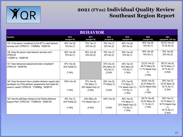

| <b>BEHAVIOR</b>                                                                                                                                                        |                                           |                                                              |                                                      |                                                                            |                                                                       |                                                                                     |  |  |
|------------------------------------------------------------------------------------------------------------------------------------------------------------------------|-------------------------------------------|--------------------------------------------------------------|------------------------------------------------------|----------------------------------------------------------------------------|-----------------------------------------------------------------------|-------------------------------------------------------------------------------------|--|--|
| Question                                                                                                                                                               | 2016<br>(sample=10)                       | 2017<br>(sample=10)                                          | 2018<br>(sample=9)                                   | 2019<br>(sample=10)                                                        | 2020<br>(sample=10)                                                   | 2021<br>(sample=8, 2 Mi Via)                                                        |  |  |
| 145. Is the person considered by the IDT to need behavior<br>services now? CPRQ131; '17IQR#5d, '18IQR154                                                               | 90% Yes (9)<br>10% No (1)                 | 70% Yes (7)<br>30% No (3)                                    | 78% Yes (7)<br>22% No (2)                            | 80% Yes (8)<br>20% No (2)                                                  | 90% Yes (9)<br>10% No (1)                                             | 62.5% Yes (5)<br>37.5% No (3)                                                       |  |  |
| 146. Does the person need behavior services now?<br>CPRQ132<br>'17IQR#11e, '18IQR155                                                                                   | 90% Yes (9)<br>10% No $(1)$               | 80% Yes (8)<br>20% No (2)                                    | 78% Yes (7)<br>22% No (2)                            | 90% Yes (9)<br>10% No (1)                                                  | 90% Yes (9)<br>10% No (1)                                             | 75% Yes (6)<br>25% No (2)                                                           |  |  |
| 147. Have behavioral assessments been completed?<br>CPRQ133, '18IQR156                                                                                                 | 67% Yes (6)<br>33% Partial (3)<br>(1 N/A) |                                                              | 57% Yes (4)<br>29% Many (2)<br>14% No (1)<br>(2 N/A) | 44% Yes (4)<br>44% Many (4)<br>11% No (1)<br>(1 N/A)                       | 22.2% Yes (2)<br>66.7% Many (6)<br>11.1% Needs Impv<br>(1)<br>(1 N/A) | 66.7% Yes (4)<br>16.7% Many (1)<br>16.7% No (1)<br>(2 N/A)                          |  |  |
| 148. Does the person have a positive behavior support plan<br>developed out of the behavior assessments that meets the<br>person's needs? CPRQ134 '17IQR#5g, '18IQR157 | 100% Yes (9)<br>(1 N/A)                   | 57% Yes (4)<br>14% Many (1)<br>29% Needs Impv (2)<br>(3 N/A) | 83% Yes (5)<br>17% Many (1)<br>(3 N/A)               | 67% Yes (6)<br>11% Many (1)<br>11% Needs Impv (1)<br>11% No (1)<br>(1 N/A) | 55.6% Yes (5)<br>22.2% Many (2)<br>22.2% Needs Impv<br>(2)<br>(1 N/A) | 50% Yes (3)<br>33.3% Many (2)<br>16.7% No (1)<br>(2 N/A)                            |  |  |
| 149. Has the staff been trained on the Positive Behavior<br>Support Plan? CPRQ135; '17IQR#10d, '18IQR158                                                               | 78% Yes (7)<br>22% Partial (2)<br>(1 N/A) | 83% Many (5)<br>17% Needs Impv (1)<br>(4 N/A)                | 100% Yes (6)<br>(3 N/A)                              | 56% Yes (5)<br>11% Many (1)<br>22% Needs Impv (2)<br>11% No (1)<br>(1 N/A) | 66.7% Yes (6)<br>22.2% Many (2)<br>11.1% No $(1)$<br>(1 N/A)          | 50% Yes (3)<br>16.7% Many (1)<br>16.7% Needs Impv<br>(1)<br>16.7% No (1)<br>(2 N/A) |  |  |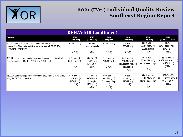

| <b>BEHAVIOR</b> (continued)                                                                                                                  |                                                           |                                                              |                                                                 |                                                      |                                                                       |                                                                |  |  |
|----------------------------------------------------------------------------------------------------------------------------------------------|-----------------------------------------------------------|--------------------------------------------------------------|-----------------------------------------------------------------|------------------------------------------------------|-----------------------------------------------------------------------|----------------------------------------------------------------|--|--|
| Question                                                                                                                                     | 2016<br>(sample=10)                                       | 2017<br>(sample=10)                                          | 2018<br>(sample=9)                                              | 2019<br>(sample=10)                                  | 2020<br>(sample=10)                                                   | 2021<br>(sample=8, 2 Mi Via)                                   |  |  |
| 150. If needed, does the person have a Behavior Crisis<br>Intervention Plan that meets the person's needs? CPRQ 73a;<br>ʻ17IQR#5h, ʻ18IQR159 | 100% Yes (2)                                              | 0% Yes<br>100% Many (2)                                      | 100% Yes (2)                                                    | 75% Yes (3)<br>25% No (1)                            | 33.3% Yes (1)<br>33.3% Many (1)<br>33.4% No (1)                       | 0% Yes<br>50% Needs Impv (1)<br>50% No (1)                     |  |  |
|                                                                                                                                              | (8 N/A)                                                   | (8 N/A)                                                      | (7 N/A)                                                         | (6 N/A)                                              | (7 N/A)                                                               | (6 N/A)                                                        |  |  |
| 151. Does the person receive behavioral services consistent with<br>his/her needs? CPRQ 136 '17IQR#5i, '18IQR160                             | 67% Yes (6)<br>33% Partial (3)                            | 38% Yes (3)<br>50% Many (4)<br>13% No (1)                    | 71% Yes (5)<br>29% Many (2)                                     | 56% Yes (5)<br>22% Many (2)<br>11% Needs Impv (1)    | 33.4% Yes (3)<br>33.3% Many (3)<br>33.3% Needs Impv                   | 66.7% Yes (4)<br>16.7% Needs Impv (1)<br>16.7% No (1)          |  |  |
|                                                                                                                                              | (1 N/A)                                                   | (2 N/A)                                                      | (2 N/A)                                                         | 11% No (1)<br>(1 N/A)                                | (3)<br>(1 N/A)                                                        | (2 N/A)                                                        |  |  |
| 152. Are behavior support services integrated into the ISP? CPRQ<br>137; '17IQR#11d, '18IQR161                                               | 67% Yes (6)<br>22% Partial (2)<br>11% No $(1)$<br>(1 N/A) | 67% Yes (4)<br>17% Needs<br>Impv(1)<br>17% No (1)<br>(4 N/A) | 50% Yes (3)<br>33% Many (2)<br>17% Needs Impv<br>(1)<br>(3 N/A) | 78% Yes (7)<br>11% Many (1)<br>11% No (1)<br>(1 N/A) | 44.4% Yes (4)<br>22.3% Many (2)<br>33.3% Needs Impv<br>(3)<br>(1 N/A) | 50% Yes (3)<br>33.3% Needs Impv (2)<br>16.7% No (1)<br>(2 N/A) |  |  |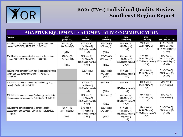

#### **ADAPTIVE EQUIPMENT / AUGMENTATIVE COMMUNICATION**

| Question                                                                                                               | 2016<br>(sample=10)                       | 2017<br>(sample=10)                                          | 2018<br>(sample=9)                     | 2019<br>(sample=10)                                                        | 2020<br>(sample=10)                                                | 2021<br>(sample=8, 2 Mi Via)                                       |
|------------------------------------------------------------------------------------------------------------------------|-------------------------------------------|--------------------------------------------------------------|----------------------------------------|----------------------------------------------------------------------------|--------------------------------------------------------------------|--------------------------------------------------------------------|
| 153. Has the person received all adaptive equipment<br>needed? CPRQ138; '17IQR#25b, '18IQR162                          | 50% Yes (3)<br>50% Partial (3)<br>(4 N/A) | 67% Yes (6)<br>22% Many (2)<br>11% Needs Impv (1)<br>(1 N/A) | 86% Yes (6)<br>14% Many (1)<br>(2 N/A) | 56% Yes (5)<br>44% Many (4)<br>(1 N/A)                                     | 77.8% Yes (7)<br>22.2% Many (2)<br>(1 N/A)                         | 57.1% Yes (4)<br>28.6% Many (2)<br>14.3% Needs Impv (1)<br>(1 N/A) |
| 154. Has the person received all assistive technology<br>needed? CPRQ139; '17IQR#25c, '18IQR163                        | 83% Yes (5)<br>17% Partial (1)<br>(4 N/A) | 50% Yes (3)<br>17% Many (1)<br>33% Needs Impv (2)<br>(4 N/A) | 60% Yes (3)<br>40% Many (2)<br>(4 N/A) | 63% Yes (5)<br>13% Many (1)<br>25% Needs Impv (2)<br>(2 N/A)               | 50% Yes (4)<br>37.5% Many (3)<br>12.5% Needs Impv (1)<br>(2 N/A)   | 50% Yes (3)<br>33.3% Many (2)<br>16.7% Needs Impv $(1)$<br>(2 N/A) |
| 155. Do direct care staff know how to appropriately help<br>the person use his/her equipment? '17IQR#25f,<br>'18IQR164 |                                           | 100% Yes (9)<br>(1 N/A)                                      | 86% Yes (6)<br>14% Many (1)<br>(2 N/A) | 88% Yes (7)<br>13% Needs Impv (1)<br>(2 N/A)                               | 88.9% Yes (8)<br>11.1% Many (1)<br>(1 N/A)                         | 71.4% Yes (5)<br>28.6% Many (2)<br>(1 N/A)                         |
| 156. Is the person's equipment and technology in good<br>repair?'17IQR#25d, '18IQR165                                  |                                           | 78% Yes (7)<br>11% Many (1)<br>11% Needs Impv (1)<br>(1 N/A) | 100% Yes (7)<br>(2 N/A)                | 89% Yes (8)<br>11% Needs Impv (1)<br>(1 N/A)                               | 88.9% Yes (8)<br>11.1% Many (1)<br>(1 N/A)                         | 75% Yes (6)<br>25% Many (2)                                        |
| 157. Is the person's equipment/technology available in<br>all appropriate environments? '17IQR#25e, '18IQR166          |                                           | 78% Yes (7)<br>11% Many (1)<br>11% Needs Impv (1)<br>(1 N/A) | 100% Yes (7)<br>(2 N/A)                | 44% Yes (4)<br>44% Many (4)<br>11% Needs Impv (1)<br>(1 N/A)               | 55.6% Yes (5)<br>44.4% Many (4)<br>(1 N/A)                         | 50% Yes (4)<br>50% Many (4)                                        |
| 158. Has the person received all communication<br>assessments and services? CPRQ140; '17IQR#10b,<br>18IQR167           | 75% Yes (6)<br>25% Partial (2)<br>(2 N/A) | 67% Yes (6)<br>11% Many (1)<br>22% Needs Impv (2)<br>(1 N/A) | 83% Yes (5)<br>17% Many (1)<br>(3 N/A) | 67% Yes (6)<br>11% Many (1)<br>11% Needs Impv (1)<br>11% No (1)<br>(1 N/A) | 44.4% Yes (4)<br>44.4% Many (4)<br>11.2% Needs Impv (1)<br>(1 N/A) | 71.4% Yes (5)<br>28.6% Many (2)<br>(1 N/A)                         |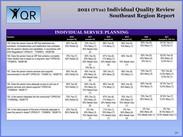

| <b>INDIVIDUAL SERVICE PLANNING</b>                                                                                                                                                                                                         |                                |                                                                    |                                                      |                                                      |                                                 |                                                  |  |  |  |
|--------------------------------------------------------------------------------------------------------------------------------------------------------------------------------------------------------------------------------------------|--------------------------------|--------------------------------------------------------------------|------------------------------------------------------|------------------------------------------------------|-------------------------------------------------|--------------------------------------------------|--|--|--|
| Question                                                                                                                                                                                                                                   | 2016<br>(sample=10)            | 2017<br>(sample=10)                                                | 2018<br>(sample=9)                                   | 2019<br>(sample=10)                                  | 2020<br>(sample=10)                             | 2021<br>(sample=8, 2 Mi Via)                     |  |  |  |
| 159. Does the person have an ISP that addresses live,<br>work/learn, fun/relationships and health/other that correlates<br>with the person's desires and capabilities, in accordance with<br>DOH Regulations? CPRQ141 '17IQR#7o, '18IQR168 | 80% Yes (8)<br>20% Partial (2) | 70% Yes (7)<br>10% Many (1)<br>20% Needs Impv<br>(2)               | 89% Yes (8)<br>11% Many (1)                          | 90% Yes (9)<br>10% Many (1)                          | 90% Yes (9)<br>10% Many (1)                     | 87.5% Yes (7)<br>12.5% No (1)                    |  |  |  |
| 160. Does the person have an ISP that contains a complete<br>Vision Section that is based on a long-term view? CPRQ142<br>'17IQR#7a, '18IQR169                                                                                             | 70% Yes (7)<br>30% Partial (3) | 50% Yes (5)<br>20% Many (2)<br>20% Needs Impv<br>(2)<br>10% No (1) | 67% Yes (6)<br>11% Many (1)<br>22% Needs Impv<br>(2) | 90% Yes (9)<br>10% Needs Impv<br>(1)                 | 50% Yes (5)<br>40% Many (4)<br>10% No (1)       | 62.5% Yes (5)<br>25% Many (2)<br>12.5% No (1)    |  |  |  |
| 161. Does the person receive services and supports<br>recommended in the ISP? CPRQ143; '17IQR#11a, '18IQR170                                                                                                                               | 60% Yes (6)<br>40% Partial (4) | 40% Yes (4)<br>20% Many (2)<br>40% Needs Impv<br>(4)               | 78% Yes (7)<br>22% Many (2)                          | 90% Yes (9)<br>10% Many (1)                          | 70% Yes (7)<br>30% Many (3)                     | 75% Yes (6)<br>12.5% Many (1)<br>12.5% No (1)    |  |  |  |
| 162. Does the person have adequate access to and use of<br>generic services and natural supports? CPRQ144;<br>'17IQR#33f, '18IQR171                                                                                                        | 90% Yes (9)<br>10% Partial (1) | 80% Yes (8)<br>10% Many (2)<br>10% Needs Impv<br>(1)               | 89% Yes (8)<br>11% Many (1)                          | 80% Yes (8)<br>20% Many (2)                          | 90% Yes (9)<br>10% Many (1)                     | 87.5% Yes (7)<br>12.5% Many (1)                  |  |  |  |
| 163. Is the person integrated into the community? CPRQ145;<br>17IQR#29g, '18IQR172                                                                                                                                                         | 70% Yes (7)<br>30% Partial (3) | 30% Yes (3)<br>20% Many (2)<br>50% Needs Impv<br>(5)               | 67% Yes (6)<br>11% Many (1)<br>22% Needs Impv<br>(2) | 70% Yes (7)<br>20% Many (2)<br>10% Needs Impv<br>(1) | 70% Yes (7)<br>30% Many (3)                     | 87.5% Yes (7)<br>12.5% Many (1)                  |  |  |  |
| 164. Is the total program of the level of intensity adequate to<br>meet this person's needs? CPRQ147; '17IQR#36, '18IQR174                                                                                                                 | 20% Yes (2)<br>80% Partial (8) | 0% Yes<br>30% Many (3)<br>70% Needs Impv<br>(7)                    | 11% Yes (1)<br>78% Many (7)<br>11% Needs Impv<br>(1) | 0% Yes<br>60% Many (6)<br>40% Needs Impv<br>(4)      | $0\%$ Yes<br>90% Many (9)<br>10% Needs Impv (1) | 0% Yes<br>87.5% Many (7)<br>12.5% Needs Impv (1) |  |  |  |